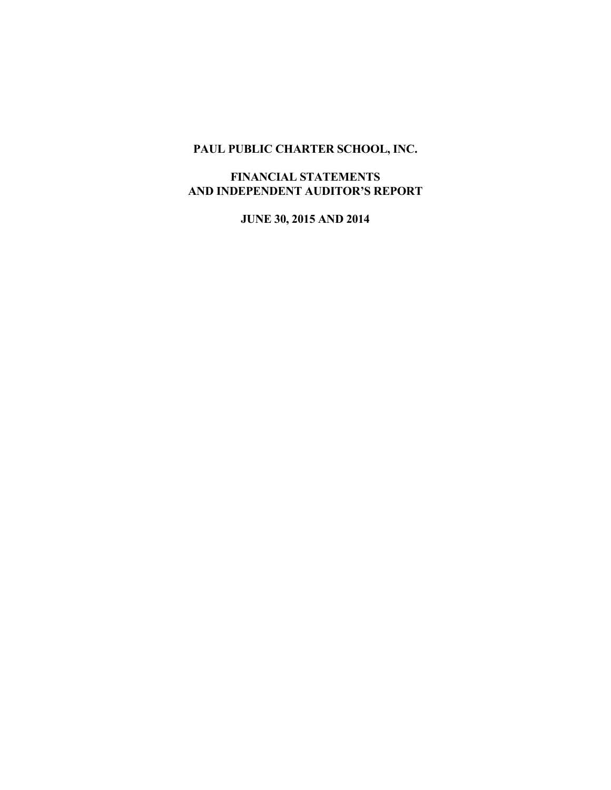# **PAUL PUBLIC CHARTER SCHOOL, INC.**

## **FINANCIAL STATEMENTS AND INDEPENDENT AUDITOR'S REPORT**

**JUNE 30, 2015 AND 2014**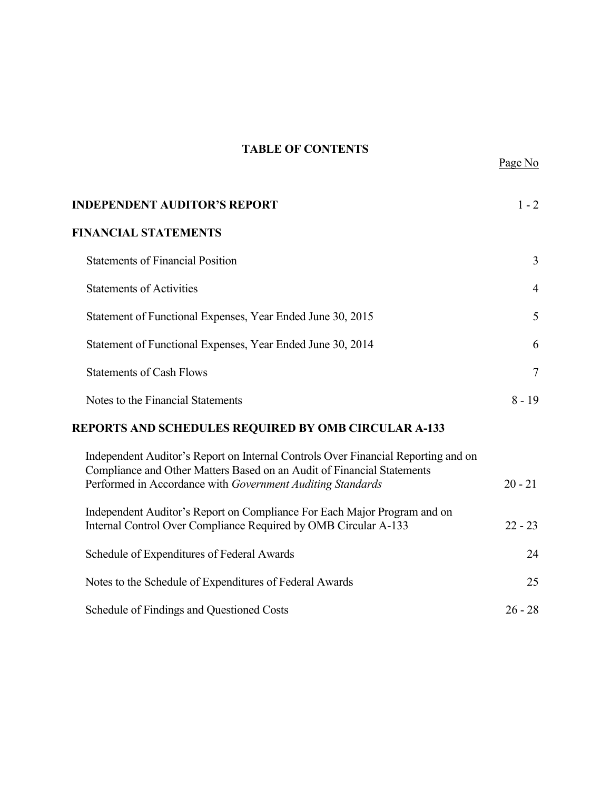# **TABLE OF CONTENTS**

| <b>INDEPENDENT AUDITOR'S REPORT</b>                                                                                                                                                                                       | $1 - 2$        |
|---------------------------------------------------------------------------------------------------------------------------------------------------------------------------------------------------------------------------|----------------|
| <b>FINANCIAL STATEMENTS</b>                                                                                                                                                                                               |                |
| <b>Statements of Financial Position</b>                                                                                                                                                                                   | 3              |
| <b>Statements of Activities</b>                                                                                                                                                                                           | $\overline{4}$ |
| Statement of Functional Expenses, Year Ended June 30, 2015                                                                                                                                                                | 5              |
| Statement of Functional Expenses, Year Ended June 30, 2014                                                                                                                                                                | 6              |
| <b>Statements of Cash Flows</b>                                                                                                                                                                                           | $\overline{7}$ |
| Notes to the Financial Statements                                                                                                                                                                                         | $8 - 19$       |
| REPORTS AND SCHEDULES REQUIRED BY OMB CIRCULAR A-133                                                                                                                                                                      |                |
| Independent Auditor's Report on Internal Controls Over Financial Reporting and on<br>Compliance and Other Matters Based on an Audit of Financial Statements<br>Performed in Accordance with Government Auditing Standards | $20 - 21$      |
| Independent Auditor's Report on Compliance For Each Major Program and on<br>Internal Control Over Compliance Required by OMB Circular A-133                                                                               | $22 - 23$      |
| Schedule of Expenditures of Federal Awards                                                                                                                                                                                | 24             |
| Notes to the Schedule of Expenditures of Federal Awards                                                                                                                                                                   | 25             |
| Schedule of Findings and Questioned Costs                                                                                                                                                                                 | $26 - 28$      |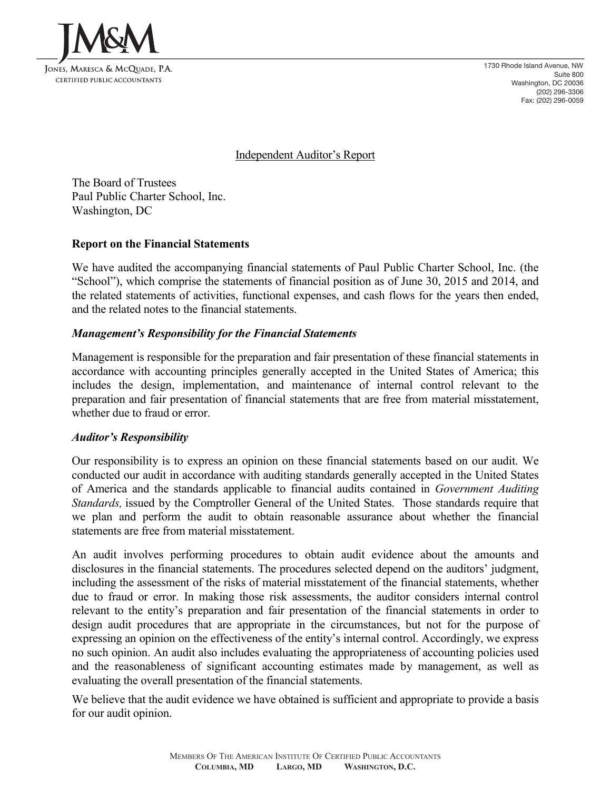

1730 Rhode Island Avenue, NW Suite 800 Washington, DC 20036 (202) 296-3306 Fax: (202) 296-0059

Independent Auditor's Report

The Board of Trustees Paul Public Charter School, Inc. Washington, DC

#### **Report on the Financial Statements**

We have audited the accompanying financial statements of Paul Public Charter School, Inc. (the "School"), which comprise the statements of financial position as of June 30, 2015 and 2014, and the related statements of activities, functional expenses, and cash flows for the years then ended, and the related notes to the financial statements.

#### *Management's Responsibility for the Financial Statements*

Management is responsible for the preparation and fair presentation of these financial statements in accordance with accounting principles generally accepted in the United States of America; this includes the design, implementation, and maintenance of internal control relevant to the preparation and fair presentation of financial statements that are free from material misstatement, whether due to fraud or error.

#### *Auditor's Responsibility*

Our responsibility is to express an opinion on these financial statements based on our audit. We conducted our audit in accordance with auditing standards generally accepted in the United States of America and the standards applicable to financial audits contained in *Government Auditing Standards,* issued by the Comptroller General of the United States. Those standards require that we plan and perform the audit to obtain reasonable assurance about whether the financial statements are free from material misstatement.

An audit involves performing procedures to obtain audit evidence about the amounts and disclosures in the financial statements. The procedures selected depend on the auditors' judgment, including the assessment of the risks of material misstatement of the financial statements, whether due to fraud or error. In making those risk assessments, the auditor considers internal control relevant to the entity's preparation and fair presentation of the financial statements in order to design audit procedures that are appropriate in the circumstances, but not for the purpose of expressing an opinion on the effectiveness of the entity's internal control. Accordingly, we express no such opinion. An audit also includes evaluating the appropriateness of accounting policies used and the reasonableness of significant accounting estimates made by management, as well as evaluating the overall presentation of the financial statements.

We believe that the audit evidence we have obtained is sufficient and appropriate to provide a basis for our audit opinion.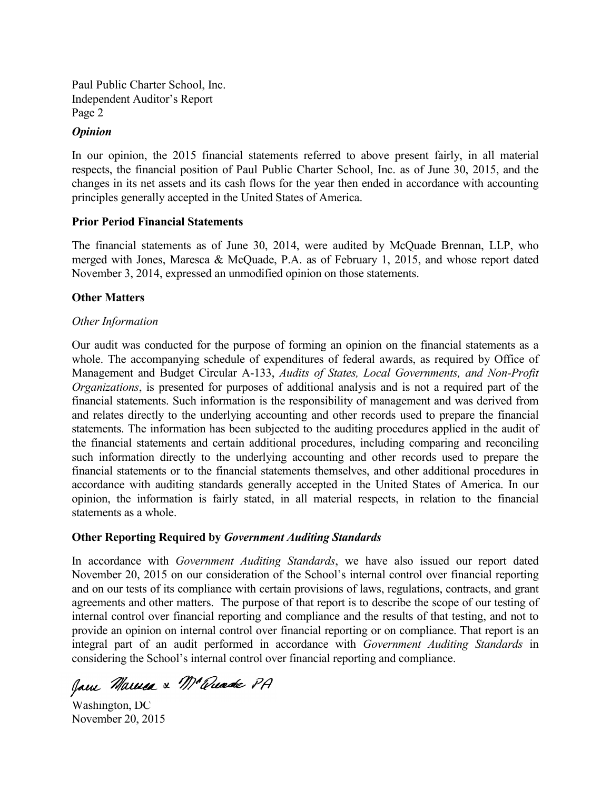Paul Public Charter School, Inc. Independent Auditor's Report Page 2

#### *Opinion*

In our opinion, the 2015 financial statements referred to above present fairly, in all material respects, the financial position of Paul Public Charter School, Inc. as of June 30, 2015, and the changes in its net assets and its cash flows for the year then ended in accordance with accounting principles generally accepted in the United States of America.

#### **Prior Period Financial Statements**

The financial statements as of June 30, 2014, were audited by McQuade Brennan, LLP, who merged with Jones, Maresca & McQuade, P.A. as of February 1, 2015, and whose report dated November 3, 2014, expressed an unmodified opinion on those statements.

#### **Other Matters**

#### *Other Information*

Our audit was conducted for the purpose of forming an opinion on the financial statements as a whole. The accompanying schedule of expenditures of federal awards, as required by Office of Management and Budget Circular A-133, *Audits of States, Local Governments, and Non-Profit Organizations*, is presented for purposes of additional analysis and is not a required part of the financial statements. Such information is the responsibility of management and was derived from and relates directly to the underlying accounting and other records used to prepare the financial statements. The information has been subjected to the auditing procedures applied in the audit of the financial statements and certain additional procedures, including comparing and reconciling such information directly to the underlying accounting and other records used to prepare the financial statements or to the financial statements themselves, and other additional procedures in accordance with auditing standards generally accepted in the United States of America. In our opinion, the information is fairly stated, in all material respects, in relation to the financial statements as a whole.

#### **Other Reporting Required by** *Government Auditing Standards*

In accordance with *Government Auditing Standards*, we have also issued our report dated November 20, 2015 on our consideration of the School's internal control over financial reporting and on our tests of its compliance with certain provisions of laws, regulations, contracts, and grant agreements and other matters. The purpose of that report is to describe the scope of our testing of internal control over financial reporting and compliance and the results of that testing, and not to provide an opinion on internal control over financial reporting or on compliance. That report is an integral part of an audit performed in accordance with *Government Auditing Standards* in considering the School's internal control over financial reporting and compliance.

Jam Marca & M'arcade PA

Washington, DC November 20, 2015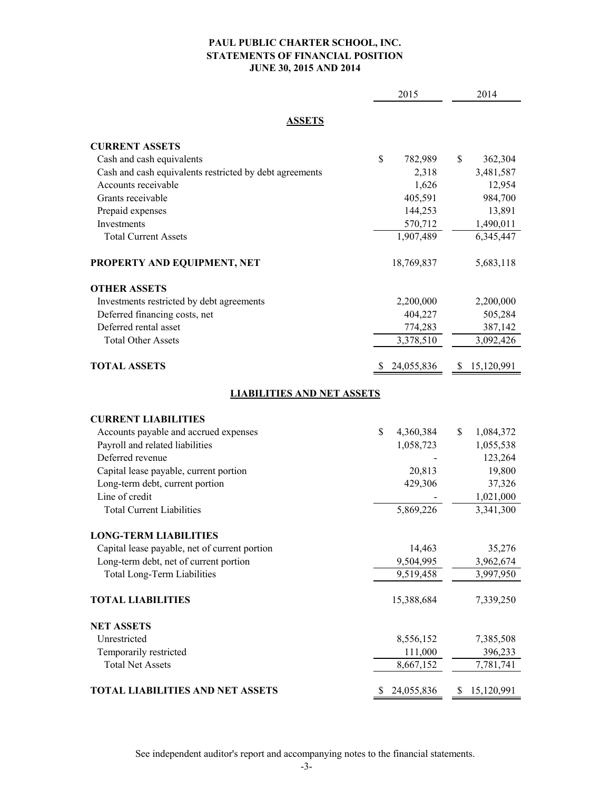#### **JUNE 30, 2015 AND 2014 PAUL PUBLIC CHARTER SCHOOL, INC. STATEMENTS OF FINANCIAL POSITION**

|                                                         | 2015                        | 2014             |
|---------------------------------------------------------|-----------------------------|------------------|
| <b>ASSETS</b>                                           |                             |                  |
| <b>CURRENT ASSETS</b>                                   |                             |                  |
| Cash and cash equivalents                               | \$<br>782,989               | \$<br>362,304    |
| Cash and cash equivalents restricted by debt agreements | 2,318                       | 3,481,587        |
| Accounts receivable                                     | 1,626                       | 12,954           |
| Grants receivable                                       | 405,591                     | 984,700          |
| Prepaid expenses                                        | 144,253                     | 13,891           |
| Investments                                             | 570,712                     | 1,490,011        |
| <b>Total Current Assets</b>                             | 1,907,489                   | 6,345,447        |
| PROPERTY AND EQUIPMENT, NET                             | 18,769,837                  | 5,683,118        |
| <b>OTHER ASSETS</b>                                     |                             |                  |
| Investments restricted by debt agreements               | 2,200,000                   | 2,200,000        |
| Deferred financing costs, net                           | 404,227                     | 505,284          |
| Deferred rental asset                                   | 774,283                     | 387,142          |
| <b>Total Other Assets</b>                               | 3,378,510                   | 3,092,426        |
| <b>TOTAL ASSETS</b>                                     | $$24,055,836$ $$15,120,991$ |                  |
| <b>LIABILITIES AND NET ASSETS</b>                       |                             |                  |
| <b>CURRENT LIABILITIES</b>                              |                             |                  |
| Accounts payable and accrued expenses                   | \$<br>4,360,384             | \$<br>1,084,372  |
| Payroll and related liabilities                         | 1,058,723                   | 1,055,538        |
| Deferred revenue                                        |                             | 123,264          |
| Capital lease payable, current portion                  | 20,813                      | 19,800           |
| Long-term debt, current portion                         | 429,306                     | 37,326           |
| Line of credit                                          |                             | 1,021,000        |
| <b>Total Current Liabilities</b>                        | 5,869,226                   | 3,341,300        |
| <b>LONG-TERM LIABILITIES</b>                            |                             |                  |
| Capital lease payable, net of current portion           | 14,463                      | 35,276           |
| Long-term debt, net of current portion                  | 9,504,995                   | 3,962,674        |
| <b>Total Long-Term Liabilities</b>                      | 9,519,458                   | 3,997,950        |
| <b>TOTAL LIABILITIES</b>                                | 15,388,684                  | 7,339,250        |
| <b>NET ASSETS</b>                                       |                             |                  |
| Unrestricted                                            | 8,556,152                   | 7,385,508        |
| Temporarily restricted                                  | 111,000                     | 396,233          |
| <b>Total Net Assets</b>                                 | 8,667,152                   | 7,781,741        |
| TOTAL LIABILITIES AND NET ASSETS                        | 24,055,836<br>\$            | 15,120,991<br>\$ |

See independent auditor's report and accompanying notes to the financial statements.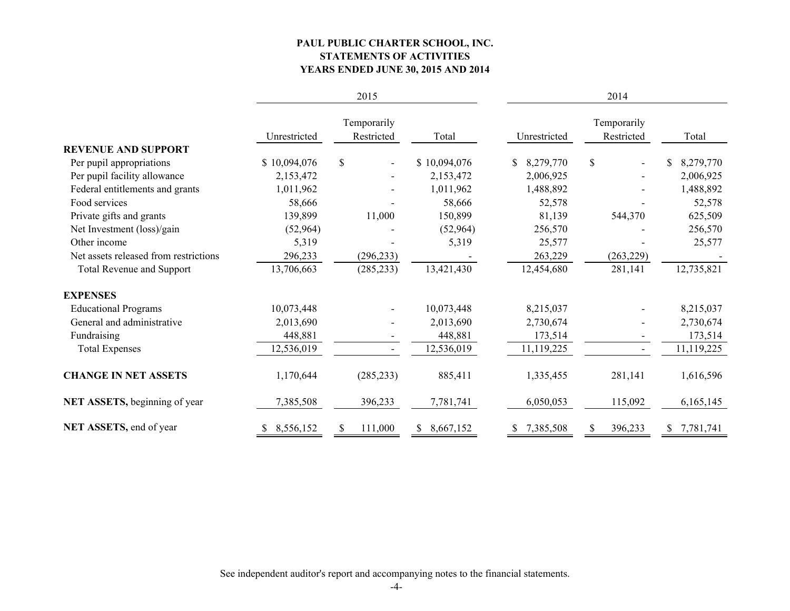#### **PAUL PUBLIC CHARTER SCHOOL, INC. STATEMENTS OF ACTIVITIES YEARS ENDED JUNE 30, 2015 AND 2014**

|                                       |              | 2015                      |                 |                 | 2014                      |                 |  |  |  |
|---------------------------------------|--------------|---------------------------|-----------------|-----------------|---------------------------|-----------------|--|--|--|
|                                       | Unrestricted | Temporarily<br>Restricted | Total           | Unrestricted    | Temporarily<br>Restricted | Total           |  |  |  |
| <b>REVENUE AND SUPPORT</b>            |              |                           |                 |                 |                           |                 |  |  |  |
| Per pupil appropriations              | \$10,094,076 | \$                        | \$10,094,076    | 8,279,770<br>S. | $\mathbb{S}$              | 8,279,770<br>S. |  |  |  |
| Per pupil facility allowance          | 2,153,472    |                           | 2,153,472       | 2,006,925       |                           | 2,006,925       |  |  |  |
| Federal entitlements and grants       | 1,011,962    |                           | 1,011,962       | 1,488,892       |                           | 1,488,892       |  |  |  |
| Food services                         | 58,666       |                           | 58,666          | 52,578          |                           | 52,578          |  |  |  |
| Private gifts and grants              | 139,899      | 11,000                    | 150,899         | 81,139          | 544,370                   | 625,509         |  |  |  |
| Net Investment (loss)/gain            | (52,964)     |                           | (52,964)        | 256,570         |                           | 256,570         |  |  |  |
| Other income                          | 5,319        |                           | 5,319           | 25,577          |                           | 25,577          |  |  |  |
| Net assets released from restrictions | 296,233      | (296, 233)                |                 | 263,229         | (263, 229)                |                 |  |  |  |
| <b>Total Revenue and Support</b>      | 13,706,663   | (285, 233)                | 13,421,430      | 12,454,680      | 281,141                   | 12,735,821      |  |  |  |
| <b>EXPENSES</b>                       |              |                           |                 |                 |                           |                 |  |  |  |
| <b>Educational Programs</b>           | 10,073,448   |                           | 10,073,448      | 8,215,037       | $\overline{\phantom{a}}$  | 8,215,037       |  |  |  |
| General and administrative            | 2,013,690    |                           | 2,013,690       | 2,730,674       |                           | 2,730,674       |  |  |  |
| Fundraising                           | 448,881      |                           | 448,881         | 173,514         |                           | 173,514         |  |  |  |
| <b>Total Expenses</b>                 | 12,536,019   |                           | 12,536,019      | 11,119,225      | $\overline{\phantom{a}}$  | 11,119,225      |  |  |  |
| <b>CHANGE IN NET ASSETS</b>           | 1,170,644    | (285, 233)                | 885,411         | 1,335,455       | 281,141                   | 1,616,596       |  |  |  |
| NET ASSETS, beginning of year         | 7,385,508    | 396,233                   | 7,781,741       | 6,050,053       | 115,092                   | 6,165,145       |  |  |  |
| NET ASSETS, end of year               | 8,556,152    | 111,000                   | \$<br>8,667,152 | 7,385,508       | 396,233                   | 7,781,741<br>\$ |  |  |  |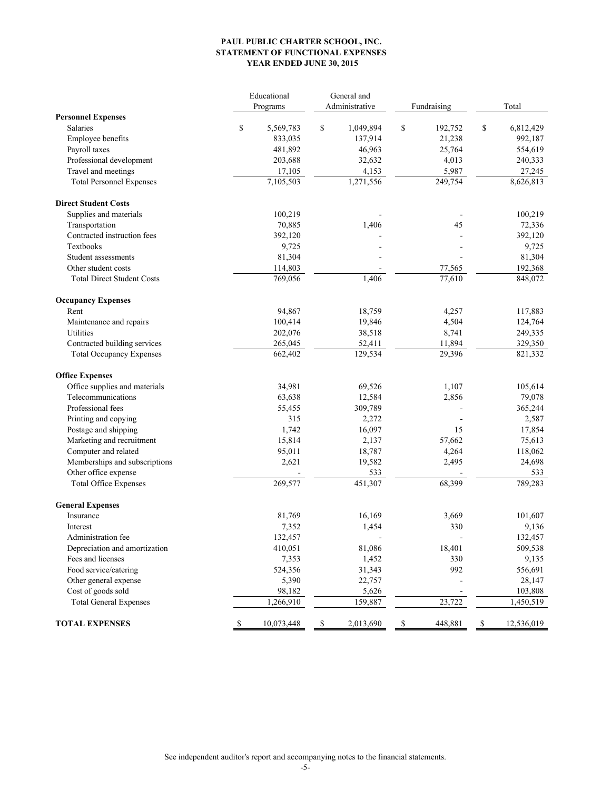#### **PAUL PUBLIC CHARTER SCHOOL, INC. STATEMENT OF FUNCTIONAL EXPENSES YEAR ENDED JUNE 30, 2015**

|                                   | Educational      | General and |                |               |                  |
|-----------------------------------|------------------|-------------|----------------|---------------|------------------|
|                                   | Programs         |             | Administrative | Fundraising   | Total            |
| <b>Personnel Expenses</b>         |                  |             |                |               |                  |
| <b>Salaries</b>                   | \$<br>5,569,783  | \$          | 1,049,894      | \$<br>192,752 | \$<br>6,812,429  |
| Employee benefits                 | 833,035          |             | 137,914        | 21,238        | 992,187          |
| Payroll taxes                     | 481,892          |             | 46,963         | 25,764        | 554,619          |
| Professional development          | 203,688          |             | 32,632         | 4,013         | 240,333          |
| Travel and meetings               | 17,105           |             | 4,153          | 5,987         | 27,245           |
| <b>Total Personnel Expenses</b>   | 7,105,503        |             | 1,271,556      | 249,754       | 8,626,813        |
| <b>Direct Student Costs</b>       |                  |             |                |               |                  |
| Supplies and materials            | 100,219          |             |                |               | 100,219          |
| Transportation                    | 70,885           |             | 1,406          | 45            | 72,336           |
| Contracted instruction fees       | 392,120          |             |                |               | 392,120          |
| Textbooks                         | 9,725            |             |                |               | 9,725            |
| Student assessments               | 81,304           |             |                |               | 81,304           |
| Other student costs               | 114,803          |             |                | 77,565        | 192,368          |
| <b>Total Direct Student Costs</b> | 769,056          |             | 1,406          | 77,610        | 848,072          |
| <b>Occupancy Expenses</b>         |                  |             |                |               |                  |
| Rent                              | 94,867           |             | 18,759         | 4,257         | 117,883          |
| Maintenance and repairs           | 100,414          |             | 19,846         | 4,504         | 124,764          |
| Utilities                         | 202,076          |             | 38,518         | 8,741         | 249,335          |
| Contracted building services      | 265,045          |             | 52,411         | 11,894        | 329,350          |
| <b>Total Occupancy Expenses</b>   | 662,402          |             | 129,534        | 29,396        | 821,332          |
| <b>Office Expenses</b>            |                  |             |                |               |                  |
| Office supplies and materials     | 34,981           |             | 69,526         | 1,107         | 105,614          |
| Telecommunications                | 63,638           |             | 12,584         | 2,856         | 79,078           |
| Professional fees                 | 55,455           |             | 309,789        |               | 365,244          |
| Printing and copying              | 315              |             | 2,272          |               | 2,587            |
| Postage and shipping              | 1,742            |             | 16,097         | 15            | 17,854           |
| Marketing and recruitment         | 15,814           |             | 2,137          | 57,662        | 75,613           |
| Computer and related              | 95,011           |             | 18,787         | 4,264         | 118,062          |
| Memberships and subscriptions     | 2,621            |             | 19,582         | 2,495         | 24,698           |
| Other office expense              |                  |             | 533            |               | 533              |
| <b>Total Office Expenses</b>      | 269,577          |             | 451,307        | 68,399        | 789,283          |
| <b>General Expenses</b>           |                  |             |                |               |                  |
| Insurance                         | 81,769           |             | 16,169         | 3,669         | 101,607          |
| Interest                          | 7,352            |             | 1,454          | 330           | 9,136            |
| Administration fee                | 132,457          |             |                |               | 132,457          |
| Depreciation and amortization     | 410,051          |             | 81,086         | 18,401        | 509,538          |
| Fees and licenses                 | 7,353            |             | 1,452          | 330           | 9,135            |
| Food service/catering             | 524,356          |             | 31,343         | 992           | 556,691          |
| Other general expense             | 5,390            |             | 22,757         |               | 28,147           |
| Cost of goods sold                | 98,182           |             | 5,626          |               | 103,808          |
| <b>Total General Expenses</b>     | 1,266,910        |             | 159,887        | 23,722        | 1,450,519        |
| <b>TOTAL EXPENSES</b>             | \$<br>10,073,448 | \$          | 2,013,690      | \$<br>448,881 | \$<br>12,536,019 |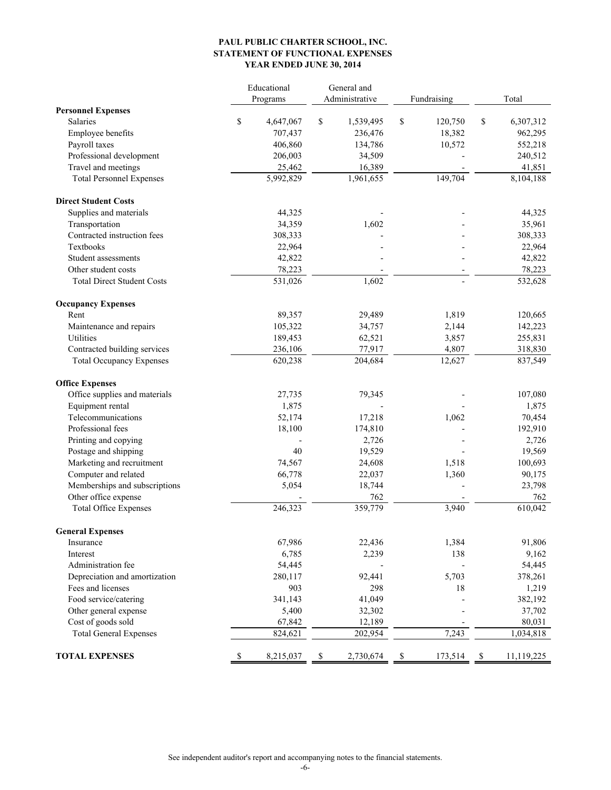#### **PAUL PUBLIC CHARTER SCHOOL, INC. STATEMENT OF FUNCTIONAL EXPENSES YEAR ENDED JUNE 30, 2014**

| <b>Personnel Expenses</b><br>\$<br>\$<br>\$<br>\$<br><b>Salaries</b><br>4,647,067<br>1,539,495<br>120,750<br>6,307,312<br>236,476<br>18,382<br>Employee benefits<br>707,437<br>962,295<br>Payroll taxes<br>552,218<br>406,860<br>134,786<br>10,572<br>Professional development<br>206,003<br>34,509<br>240,512<br>Travel and meetings<br>25,462<br>16,389<br>41,851<br><b>Total Personnel Expenses</b><br>5,992,829<br>1,961,655<br>149,704<br>8,104,188<br><b>Direct Student Costs</b><br>Supplies and materials<br>44,325<br>44,325<br>Transportation<br>34,359<br>35,961<br>1,602<br>Contracted instruction fees<br>308,333<br>308,333<br>Textbooks<br>22,964<br>22,964<br>42,822<br>42,822<br>Student assessments<br>Other student costs<br>78,223<br>78,223<br>531,026<br>532,628<br><b>Total Direct Student Costs</b><br>1,602<br><b>Occupancy Expenses</b><br>89,357<br>1,819<br>120,665<br>Rent<br>29,489<br>142,223<br>Maintenance and repairs<br>105,322<br>34,757<br>2,144<br>189,453<br>62,521<br>255,831<br>Utilities<br>3,857<br>Contracted building services<br>236,106<br>77,917<br>4,807<br>318,830<br><b>Total Occupancy Expenses</b><br>620,238<br>204,684<br>12,627<br>837,549<br><b>Office Expenses</b><br>Office supplies and materials<br>107,080<br>27,735<br>79,345<br>Equipment rental<br>1,875<br>1,875<br>Telecommunications<br>52,174<br>17,218<br>70,454<br>1,062<br>Professional fees<br>18,100<br>174,810<br>192,910<br>Printing and copying<br>2,726<br>2,726<br>Postage and shipping<br>40<br>19,529<br>19,569<br>Marketing and recruitment<br>74,567<br>24,608<br>1,518<br>100,693<br>Computer and related<br>66,778<br>22,037<br>90,175<br>1,360<br>Memberships and subscriptions<br>5,054<br>18,744<br>23,798<br>Other office expense<br>762<br>762<br><b>Total Office Expenses</b><br>359,779<br>610,042<br>246,323<br>3,940<br><b>General Expenses</b><br>67,986<br>91,806<br>Insurance<br>22,436<br>1,384<br>6,785<br>9,162<br>Interest<br>2,239<br>138<br>Administration fee<br>54,445<br>54,445<br>$\overline{a}$<br>Depreciation and amortization<br>280,117<br>92,441<br>5,703<br>378,261<br>Fees and licenses<br>903<br>298<br>18<br>1,219<br>Food service/catering<br>341,143<br>41,049<br>382,192<br>5,400<br>Other general expense<br>32,302<br>37,702<br>Cost of goods sold<br>67,842<br>12,189<br>80,031<br>202,954<br>7,243<br><b>Total General Expenses</b><br>824,621<br>1,034,818<br><b>TOTAL EXPENSES</b><br>\$<br>8,215,037<br>\$<br>2,730,674<br>\$<br>173,514<br>\$<br>11,119,225 | Educational<br>Programs | General and<br>Administrative | Fundraising | Total |
|---------------------------------------------------------------------------------------------------------------------------------------------------------------------------------------------------------------------------------------------------------------------------------------------------------------------------------------------------------------------------------------------------------------------------------------------------------------------------------------------------------------------------------------------------------------------------------------------------------------------------------------------------------------------------------------------------------------------------------------------------------------------------------------------------------------------------------------------------------------------------------------------------------------------------------------------------------------------------------------------------------------------------------------------------------------------------------------------------------------------------------------------------------------------------------------------------------------------------------------------------------------------------------------------------------------------------------------------------------------------------------------------------------------------------------------------------------------------------------------------------------------------------------------------------------------------------------------------------------------------------------------------------------------------------------------------------------------------------------------------------------------------------------------------------------------------------------------------------------------------------------------------------------------------------------------------------------------------------------------------------------------------------------------------------------------------------------------------------------------------------------------------------------------------------------------------------------------------------------------------------------------------------------------------------------------------------------------------------------------------------------------------------------------------------------------------------------------------------------------------------------------------------------------------|-------------------------|-------------------------------|-------------|-------|
|                                                                                                                                                                                                                                                                                                                                                                                                                                                                                                                                                                                                                                                                                                                                                                                                                                                                                                                                                                                                                                                                                                                                                                                                                                                                                                                                                                                                                                                                                                                                                                                                                                                                                                                                                                                                                                                                                                                                                                                                                                                                                                                                                                                                                                                                                                                                                                                                                                                                                                                                             |                         |                               |             |       |
|                                                                                                                                                                                                                                                                                                                                                                                                                                                                                                                                                                                                                                                                                                                                                                                                                                                                                                                                                                                                                                                                                                                                                                                                                                                                                                                                                                                                                                                                                                                                                                                                                                                                                                                                                                                                                                                                                                                                                                                                                                                                                                                                                                                                                                                                                                                                                                                                                                                                                                                                             |                         |                               |             |       |
|                                                                                                                                                                                                                                                                                                                                                                                                                                                                                                                                                                                                                                                                                                                                                                                                                                                                                                                                                                                                                                                                                                                                                                                                                                                                                                                                                                                                                                                                                                                                                                                                                                                                                                                                                                                                                                                                                                                                                                                                                                                                                                                                                                                                                                                                                                                                                                                                                                                                                                                                             |                         |                               |             |       |
|                                                                                                                                                                                                                                                                                                                                                                                                                                                                                                                                                                                                                                                                                                                                                                                                                                                                                                                                                                                                                                                                                                                                                                                                                                                                                                                                                                                                                                                                                                                                                                                                                                                                                                                                                                                                                                                                                                                                                                                                                                                                                                                                                                                                                                                                                                                                                                                                                                                                                                                                             |                         |                               |             |       |
|                                                                                                                                                                                                                                                                                                                                                                                                                                                                                                                                                                                                                                                                                                                                                                                                                                                                                                                                                                                                                                                                                                                                                                                                                                                                                                                                                                                                                                                                                                                                                                                                                                                                                                                                                                                                                                                                                                                                                                                                                                                                                                                                                                                                                                                                                                                                                                                                                                                                                                                                             |                         |                               |             |       |
|                                                                                                                                                                                                                                                                                                                                                                                                                                                                                                                                                                                                                                                                                                                                                                                                                                                                                                                                                                                                                                                                                                                                                                                                                                                                                                                                                                                                                                                                                                                                                                                                                                                                                                                                                                                                                                                                                                                                                                                                                                                                                                                                                                                                                                                                                                                                                                                                                                                                                                                                             |                         |                               |             |       |
|                                                                                                                                                                                                                                                                                                                                                                                                                                                                                                                                                                                                                                                                                                                                                                                                                                                                                                                                                                                                                                                                                                                                                                                                                                                                                                                                                                                                                                                                                                                                                                                                                                                                                                                                                                                                                                                                                                                                                                                                                                                                                                                                                                                                                                                                                                                                                                                                                                                                                                                                             |                         |                               |             |       |
|                                                                                                                                                                                                                                                                                                                                                                                                                                                                                                                                                                                                                                                                                                                                                                                                                                                                                                                                                                                                                                                                                                                                                                                                                                                                                                                                                                                                                                                                                                                                                                                                                                                                                                                                                                                                                                                                                                                                                                                                                                                                                                                                                                                                                                                                                                                                                                                                                                                                                                                                             |                         |                               |             |       |
|                                                                                                                                                                                                                                                                                                                                                                                                                                                                                                                                                                                                                                                                                                                                                                                                                                                                                                                                                                                                                                                                                                                                                                                                                                                                                                                                                                                                                                                                                                                                                                                                                                                                                                                                                                                                                                                                                                                                                                                                                                                                                                                                                                                                                                                                                                                                                                                                                                                                                                                                             |                         |                               |             |       |
|                                                                                                                                                                                                                                                                                                                                                                                                                                                                                                                                                                                                                                                                                                                                                                                                                                                                                                                                                                                                                                                                                                                                                                                                                                                                                                                                                                                                                                                                                                                                                                                                                                                                                                                                                                                                                                                                                                                                                                                                                                                                                                                                                                                                                                                                                                                                                                                                                                                                                                                                             |                         |                               |             |       |
|                                                                                                                                                                                                                                                                                                                                                                                                                                                                                                                                                                                                                                                                                                                                                                                                                                                                                                                                                                                                                                                                                                                                                                                                                                                                                                                                                                                                                                                                                                                                                                                                                                                                                                                                                                                                                                                                                                                                                                                                                                                                                                                                                                                                                                                                                                                                                                                                                                                                                                                                             |                         |                               |             |       |
|                                                                                                                                                                                                                                                                                                                                                                                                                                                                                                                                                                                                                                                                                                                                                                                                                                                                                                                                                                                                                                                                                                                                                                                                                                                                                                                                                                                                                                                                                                                                                                                                                                                                                                                                                                                                                                                                                                                                                                                                                                                                                                                                                                                                                                                                                                                                                                                                                                                                                                                                             |                         |                               |             |       |
|                                                                                                                                                                                                                                                                                                                                                                                                                                                                                                                                                                                                                                                                                                                                                                                                                                                                                                                                                                                                                                                                                                                                                                                                                                                                                                                                                                                                                                                                                                                                                                                                                                                                                                                                                                                                                                                                                                                                                                                                                                                                                                                                                                                                                                                                                                                                                                                                                                                                                                                                             |                         |                               |             |       |
|                                                                                                                                                                                                                                                                                                                                                                                                                                                                                                                                                                                                                                                                                                                                                                                                                                                                                                                                                                                                                                                                                                                                                                                                                                                                                                                                                                                                                                                                                                                                                                                                                                                                                                                                                                                                                                                                                                                                                                                                                                                                                                                                                                                                                                                                                                                                                                                                                                                                                                                                             |                         |                               |             |       |
|                                                                                                                                                                                                                                                                                                                                                                                                                                                                                                                                                                                                                                                                                                                                                                                                                                                                                                                                                                                                                                                                                                                                                                                                                                                                                                                                                                                                                                                                                                                                                                                                                                                                                                                                                                                                                                                                                                                                                                                                                                                                                                                                                                                                                                                                                                                                                                                                                                                                                                                                             |                         |                               |             |       |
|                                                                                                                                                                                                                                                                                                                                                                                                                                                                                                                                                                                                                                                                                                                                                                                                                                                                                                                                                                                                                                                                                                                                                                                                                                                                                                                                                                                                                                                                                                                                                                                                                                                                                                                                                                                                                                                                                                                                                                                                                                                                                                                                                                                                                                                                                                                                                                                                                                                                                                                                             |                         |                               |             |       |
|                                                                                                                                                                                                                                                                                                                                                                                                                                                                                                                                                                                                                                                                                                                                                                                                                                                                                                                                                                                                                                                                                                                                                                                                                                                                                                                                                                                                                                                                                                                                                                                                                                                                                                                                                                                                                                                                                                                                                                                                                                                                                                                                                                                                                                                                                                                                                                                                                                                                                                                                             |                         |                               |             |       |
|                                                                                                                                                                                                                                                                                                                                                                                                                                                                                                                                                                                                                                                                                                                                                                                                                                                                                                                                                                                                                                                                                                                                                                                                                                                                                                                                                                                                                                                                                                                                                                                                                                                                                                                                                                                                                                                                                                                                                                                                                                                                                                                                                                                                                                                                                                                                                                                                                                                                                                                                             |                         |                               |             |       |
|                                                                                                                                                                                                                                                                                                                                                                                                                                                                                                                                                                                                                                                                                                                                                                                                                                                                                                                                                                                                                                                                                                                                                                                                                                                                                                                                                                                                                                                                                                                                                                                                                                                                                                                                                                                                                                                                                                                                                                                                                                                                                                                                                                                                                                                                                                                                                                                                                                                                                                                                             |                         |                               |             |       |
|                                                                                                                                                                                                                                                                                                                                                                                                                                                                                                                                                                                                                                                                                                                                                                                                                                                                                                                                                                                                                                                                                                                                                                                                                                                                                                                                                                                                                                                                                                                                                                                                                                                                                                                                                                                                                                                                                                                                                                                                                                                                                                                                                                                                                                                                                                                                                                                                                                                                                                                                             |                         |                               |             |       |
|                                                                                                                                                                                                                                                                                                                                                                                                                                                                                                                                                                                                                                                                                                                                                                                                                                                                                                                                                                                                                                                                                                                                                                                                                                                                                                                                                                                                                                                                                                                                                                                                                                                                                                                                                                                                                                                                                                                                                                                                                                                                                                                                                                                                                                                                                                                                                                                                                                                                                                                                             |                         |                               |             |       |
|                                                                                                                                                                                                                                                                                                                                                                                                                                                                                                                                                                                                                                                                                                                                                                                                                                                                                                                                                                                                                                                                                                                                                                                                                                                                                                                                                                                                                                                                                                                                                                                                                                                                                                                                                                                                                                                                                                                                                                                                                                                                                                                                                                                                                                                                                                                                                                                                                                                                                                                                             |                         |                               |             |       |
|                                                                                                                                                                                                                                                                                                                                                                                                                                                                                                                                                                                                                                                                                                                                                                                                                                                                                                                                                                                                                                                                                                                                                                                                                                                                                                                                                                                                                                                                                                                                                                                                                                                                                                                                                                                                                                                                                                                                                                                                                                                                                                                                                                                                                                                                                                                                                                                                                                                                                                                                             |                         |                               |             |       |
|                                                                                                                                                                                                                                                                                                                                                                                                                                                                                                                                                                                                                                                                                                                                                                                                                                                                                                                                                                                                                                                                                                                                                                                                                                                                                                                                                                                                                                                                                                                                                                                                                                                                                                                                                                                                                                                                                                                                                                                                                                                                                                                                                                                                                                                                                                                                                                                                                                                                                                                                             |                         |                               |             |       |
|                                                                                                                                                                                                                                                                                                                                                                                                                                                                                                                                                                                                                                                                                                                                                                                                                                                                                                                                                                                                                                                                                                                                                                                                                                                                                                                                                                                                                                                                                                                                                                                                                                                                                                                                                                                                                                                                                                                                                                                                                                                                                                                                                                                                                                                                                                                                                                                                                                                                                                                                             |                         |                               |             |       |
|                                                                                                                                                                                                                                                                                                                                                                                                                                                                                                                                                                                                                                                                                                                                                                                                                                                                                                                                                                                                                                                                                                                                                                                                                                                                                                                                                                                                                                                                                                                                                                                                                                                                                                                                                                                                                                                                                                                                                                                                                                                                                                                                                                                                                                                                                                                                                                                                                                                                                                                                             |                         |                               |             |       |
|                                                                                                                                                                                                                                                                                                                                                                                                                                                                                                                                                                                                                                                                                                                                                                                                                                                                                                                                                                                                                                                                                                                                                                                                                                                                                                                                                                                                                                                                                                                                                                                                                                                                                                                                                                                                                                                                                                                                                                                                                                                                                                                                                                                                                                                                                                                                                                                                                                                                                                                                             |                         |                               |             |       |
|                                                                                                                                                                                                                                                                                                                                                                                                                                                                                                                                                                                                                                                                                                                                                                                                                                                                                                                                                                                                                                                                                                                                                                                                                                                                                                                                                                                                                                                                                                                                                                                                                                                                                                                                                                                                                                                                                                                                                                                                                                                                                                                                                                                                                                                                                                                                                                                                                                                                                                                                             |                         |                               |             |       |
|                                                                                                                                                                                                                                                                                                                                                                                                                                                                                                                                                                                                                                                                                                                                                                                                                                                                                                                                                                                                                                                                                                                                                                                                                                                                                                                                                                                                                                                                                                                                                                                                                                                                                                                                                                                                                                                                                                                                                                                                                                                                                                                                                                                                                                                                                                                                                                                                                                                                                                                                             |                         |                               |             |       |
|                                                                                                                                                                                                                                                                                                                                                                                                                                                                                                                                                                                                                                                                                                                                                                                                                                                                                                                                                                                                                                                                                                                                                                                                                                                                                                                                                                                                                                                                                                                                                                                                                                                                                                                                                                                                                                                                                                                                                                                                                                                                                                                                                                                                                                                                                                                                                                                                                                                                                                                                             |                         |                               |             |       |
|                                                                                                                                                                                                                                                                                                                                                                                                                                                                                                                                                                                                                                                                                                                                                                                                                                                                                                                                                                                                                                                                                                                                                                                                                                                                                                                                                                                                                                                                                                                                                                                                                                                                                                                                                                                                                                                                                                                                                                                                                                                                                                                                                                                                                                                                                                                                                                                                                                                                                                                                             |                         |                               |             |       |
|                                                                                                                                                                                                                                                                                                                                                                                                                                                                                                                                                                                                                                                                                                                                                                                                                                                                                                                                                                                                                                                                                                                                                                                                                                                                                                                                                                                                                                                                                                                                                                                                                                                                                                                                                                                                                                                                                                                                                                                                                                                                                                                                                                                                                                                                                                                                                                                                                                                                                                                                             |                         |                               |             |       |
|                                                                                                                                                                                                                                                                                                                                                                                                                                                                                                                                                                                                                                                                                                                                                                                                                                                                                                                                                                                                                                                                                                                                                                                                                                                                                                                                                                                                                                                                                                                                                                                                                                                                                                                                                                                                                                                                                                                                                                                                                                                                                                                                                                                                                                                                                                                                                                                                                                                                                                                                             |                         |                               |             |       |
|                                                                                                                                                                                                                                                                                                                                                                                                                                                                                                                                                                                                                                                                                                                                                                                                                                                                                                                                                                                                                                                                                                                                                                                                                                                                                                                                                                                                                                                                                                                                                                                                                                                                                                                                                                                                                                                                                                                                                                                                                                                                                                                                                                                                                                                                                                                                                                                                                                                                                                                                             |                         |                               |             |       |
|                                                                                                                                                                                                                                                                                                                                                                                                                                                                                                                                                                                                                                                                                                                                                                                                                                                                                                                                                                                                                                                                                                                                                                                                                                                                                                                                                                                                                                                                                                                                                                                                                                                                                                                                                                                                                                                                                                                                                                                                                                                                                                                                                                                                                                                                                                                                                                                                                                                                                                                                             |                         |                               |             |       |
|                                                                                                                                                                                                                                                                                                                                                                                                                                                                                                                                                                                                                                                                                                                                                                                                                                                                                                                                                                                                                                                                                                                                                                                                                                                                                                                                                                                                                                                                                                                                                                                                                                                                                                                                                                                                                                                                                                                                                                                                                                                                                                                                                                                                                                                                                                                                                                                                                                                                                                                                             |                         |                               |             |       |
|                                                                                                                                                                                                                                                                                                                                                                                                                                                                                                                                                                                                                                                                                                                                                                                                                                                                                                                                                                                                                                                                                                                                                                                                                                                                                                                                                                                                                                                                                                                                                                                                                                                                                                                                                                                                                                                                                                                                                                                                                                                                                                                                                                                                                                                                                                                                                                                                                                                                                                                                             |                         |                               |             |       |
|                                                                                                                                                                                                                                                                                                                                                                                                                                                                                                                                                                                                                                                                                                                                                                                                                                                                                                                                                                                                                                                                                                                                                                                                                                                                                                                                                                                                                                                                                                                                                                                                                                                                                                                                                                                                                                                                                                                                                                                                                                                                                                                                                                                                                                                                                                                                                                                                                                                                                                                                             |                         |                               |             |       |
|                                                                                                                                                                                                                                                                                                                                                                                                                                                                                                                                                                                                                                                                                                                                                                                                                                                                                                                                                                                                                                                                                                                                                                                                                                                                                                                                                                                                                                                                                                                                                                                                                                                                                                                                                                                                                                                                                                                                                                                                                                                                                                                                                                                                                                                                                                                                                                                                                                                                                                                                             |                         |                               |             |       |
|                                                                                                                                                                                                                                                                                                                                                                                                                                                                                                                                                                                                                                                                                                                                                                                                                                                                                                                                                                                                                                                                                                                                                                                                                                                                                                                                                                                                                                                                                                                                                                                                                                                                                                                                                                                                                                                                                                                                                                                                                                                                                                                                                                                                                                                                                                                                                                                                                                                                                                                                             |                         |                               |             |       |
|                                                                                                                                                                                                                                                                                                                                                                                                                                                                                                                                                                                                                                                                                                                                                                                                                                                                                                                                                                                                                                                                                                                                                                                                                                                                                                                                                                                                                                                                                                                                                                                                                                                                                                                                                                                                                                                                                                                                                                                                                                                                                                                                                                                                                                                                                                                                                                                                                                                                                                                                             |                         |                               |             |       |
|                                                                                                                                                                                                                                                                                                                                                                                                                                                                                                                                                                                                                                                                                                                                                                                                                                                                                                                                                                                                                                                                                                                                                                                                                                                                                                                                                                                                                                                                                                                                                                                                                                                                                                                                                                                                                                                                                                                                                                                                                                                                                                                                                                                                                                                                                                                                                                                                                                                                                                                                             |                         |                               |             |       |
|                                                                                                                                                                                                                                                                                                                                                                                                                                                                                                                                                                                                                                                                                                                                                                                                                                                                                                                                                                                                                                                                                                                                                                                                                                                                                                                                                                                                                                                                                                                                                                                                                                                                                                                                                                                                                                                                                                                                                                                                                                                                                                                                                                                                                                                                                                                                                                                                                                                                                                                                             |                         |                               |             |       |
|                                                                                                                                                                                                                                                                                                                                                                                                                                                                                                                                                                                                                                                                                                                                                                                                                                                                                                                                                                                                                                                                                                                                                                                                                                                                                                                                                                                                                                                                                                                                                                                                                                                                                                                                                                                                                                                                                                                                                                                                                                                                                                                                                                                                                                                                                                                                                                                                                                                                                                                                             |                         |                               |             |       |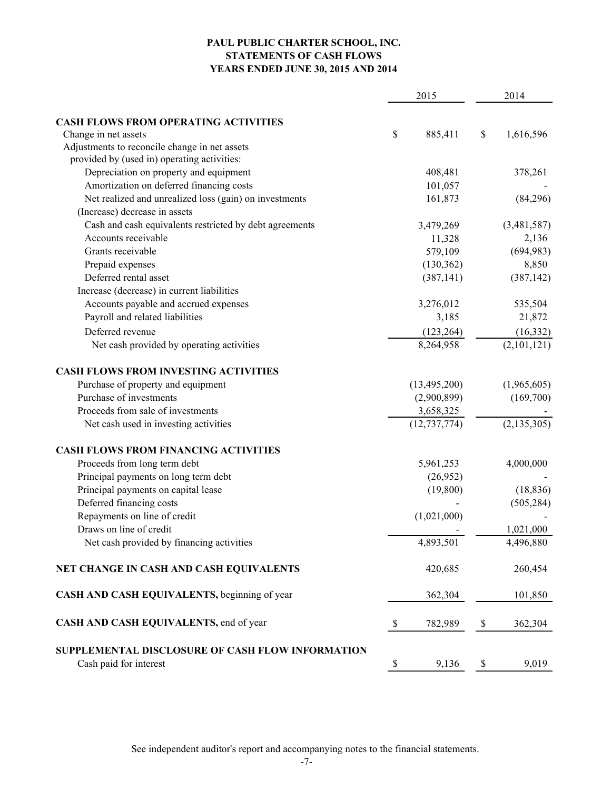#### **PAUL PUBLIC CHARTER SCHOOL, INC. STATEMENTS OF CASH FLOWS YEARS ENDED JUNE 30, 2015 AND 2014**

|                                                                            | 2015           |              | 2014          |
|----------------------------------------------------------------------------|----------------|--------------|---------------|
|                                                                            |                |              |               |
| <b>CASH FLOWS FROM OPERATING ACTIVITIES</b>                                |                |              |               |
| Change in net assets                                                       | \$<br>885,411  | \$           | 1,616,596     |
| Adjustments to reconcile change in net assets                              |                |              |               |
| provided by (used in) operating activities:                                |                |              |               |
| Depreciation on property and equipment                                     | 408,481        |              | 378,261       |
| Amortization on deferred financing costs                                   | 101,057        |              |               |
| Net realized and unrealized loss (gain) on investments                     | 161,873        |              | (84,296)      |
| (Increase) decrease in assets                                              |                |              |               |
| Cash and cash equivalents restricted by debt agreements                    | 3,479,269      |              | (3,481,587)   |
| Accounts receivable                                                        | 11,328         |              | 2,136         |
| Grants receivable                                                          | 579,109        |              | (694, 983)    |
| Prepaid expenses                                                           | (130, 362)     |              | 8,850         |
| Deferred rental asset                                                      | (387, 141)     |              | (387, 142)    |
| Increase (decrease) in current liabilities                                 |                |              |               |
| Accounts payable and accrued expenses                                      | 3,276,012      |              | 535,504       |
| Payroll and related liabilities                                            | 3,185          |              | 21,872        |
| Deferred revenue                                                           | (123, 264)     |              | (16, 332)     |
| Net cash provided by operating activities                                  | 8,264,958      |              | (2,101,121)   |
| <b>CASH FLOWS FROM INVESTING ACTIVITIES</b>                                |                |              |               |
| Purchase of property and equipment                                         | (13, 495, 200) |              | (1,965,605)   |
| Purchase of investments                                                    | (2,900,899)    |              | (169,700)     |
| Proceeds from sale of investments                                          | 3,658,325      |              |               |
| Net cash used in investing activities                                      | (12, 737, 774) |              | (2, 135, 305) |
| <b>CASH FLOWS FROM FINANCING ACTIVITIES</b>                                |                |              |               |
| Proceeds from long term debt                                               | 5,961,253      |              | 4,000,000     |
| Principal payments on long term debt                                       | (26,952)       |              |               |
| Principal payments on capital lease                                        | (19, 800)      |              | (18, 836)     |
| Deferred financing costs                                                   |                |              | (505, 284)    |
| Repayments on line of credit                                               | (1,021,000)    |              |               |
| Draws on line of credit                                                    |                |              | 1,021,000     |
| Net cash provided by financing activities                                  | 4,893,501      |              | 4,496,880     |
| NET CHANGE IN CASH AND CASH EQUIVALENTS                                    | 420,685        |              | 260,454       |
| CASH AND CASH EQUIVALENTS, beginning of year                               | 362,304        |              | 101,850       |
| CASH AND CASH EQUIVALENTS, end of year                                     | \$<br>782,989  | $\mathbb{S}$ | 362,304       |
| SUPPLEMENTAL DISCLOSURE OF CASH FLOW INFORMATION<br>Cash paid for interest | \$<br>9,136    | \$           | 9,019         |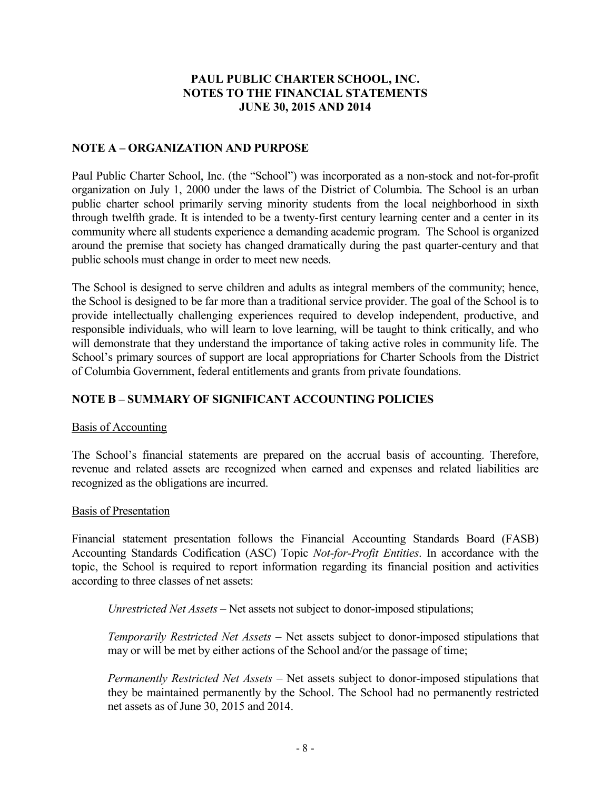## **NOTE A – ORGANIZATION AND PURPOSE**

Paul Public Charter School, Inc. (the "School") was incorporated as a non-stock and not-for-profit organization on July 1, 2000 under the laws of the District of Columbia. The School is an urban public charter school primarily serving minority students from the local neighborhood in sixth through twelfth grade. It is intended to be a twenty-first century learning center and a center in its community where all students experience a demanding academic program. The School is organized around the premise that society has changed dramatically during the past quarter-century and that public schools must change in order to meet new needs.

The School is designed to serve children and adults as integral members of the community; hence, the School is designed to be far more than a traditional service provider. The goal of the School is to provide intellectually challenging experiences required to develop independent, productive, and responsible individuals, who will learn to love learning, will be taught to think critically, and who will demonstrate that they understand the importance of taking active roles in community life. The School's primary sources of support are local appropriations for Charter Schools from the District of Columbia Government, federal entitlements and grants from private foundations.

## **NOTE B – SUMMARY OF SIGNIFICANT ACCOUNTING POLICIES**

## Basis of Accounting

The School's financial statements are prepared on the accrual basis of accounting. Therefore, revenue and related assets are recognized when earned and expenses and related liabilities are recognized as the obligations are incurred.

#### Basis of Presentation

Financial statement presentation follows the Financial Accounting Standards Board (FASB) Accounting Standards Codification (ASC) Topic *Not-for-Profit Entities*. In accordance with the topic, the School is required to report information regarding its financial position and activities according to three classes of net assets:

*Unrestricted Net Assets* – Net assets not subject to donor-imposed stipulations;

*Temporarily Restricted Net Assets* – Net assets subject to donor-imposed stipulations that may or will be met by either actions of the School and/or the passage of time;

*Permanently Restricted Net Assets* – Net assets subject to donor-imposed stipulations that they be maintained permanently by the School. The School had no permanently restricted net assets as of June 30, 2015 and 2014.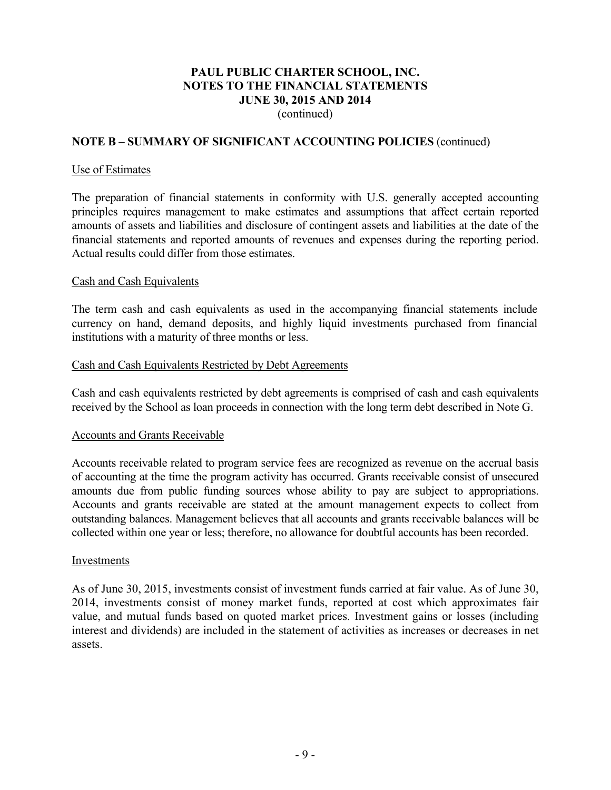#### **NOTE B – SUMMARY OF SIGNIFICANT ACCOUNTING POLICIES** (continued)

#### Use of Estimates

The preparation of financial statements in conformity with U.S. generally accepted accounting principles requires management to make estimates and assumptions that affect certain reported amounts of assets and liabilities and disclosure of contingent assets and liabilities at the date of the financial statements and reported amounts of revenues and expenses during the reporting period. Actual results could differ from those estimates.

#### Cash and Cash Equivalents

The term cash and cash equivalents as used in the accompanying financial statements include currency on hand, demand deposits, and highly liquid investments purchased from financial institutions with a maturity of three months or less.

#### Cash and Cash Equivalents Restricted by Debt Agreements

Cash and cash equivalents restricted by debt agreements is comprised of cash and cash equivalents received by the School as loan proceeds in connection with the long term debt described in Note G.

#### Accounts and Grants Receivable

Accounts receivable related to program service fees are recognized as revenue on the accrual basis of accounting at the time the program activity has occurred. Grants receivable consist of unsecured amounts due from public funding sources whose ability to pay are subject to appropriations. Accounts and grants receivable are stated at the amount management expects to collect from outstanding balances. Management believes that all accounts and grants receivable balances will be collected within one year or less; therefore, no allowance for doubtful accounts has been recorded.

#### Investments

As of June 30, 2015, investments consist of investment funds carried at fair value. As of June 30, 2014, investments consist of money market funds, reported at cost which approximates fair value, and mutual funds based on quoted market prices. Investment gains or losses (including interest and dividends) are included in the statement of activities as increases or decreases in net assets.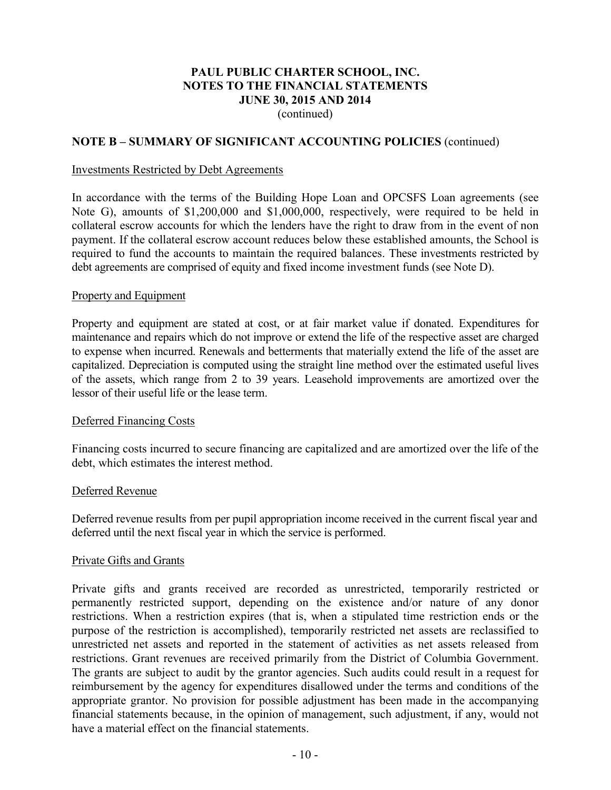#### **NOTE B – SUMMARY OF SIGNIFICANT ACCOUNTING POLICIES** (continued)

#### Investments Restricted by Debt Agreements

In accordance with the terms of the Building Hope Loan and OPCSFS Loan agreements (see Note G), amounts of \$1,200,000 and \$1,000,000, respectively, were required to be held in collateral escrow accounts for which the lenders have the right to draw from in the event of non payment. If the collateral escrow account reduces below these established amounts, the School is required to fund the accounts to maintain the required balances. These investments restricted by debt agreements are comprised of equity and fixed income investment funds (see Note D).

#### Property and Equipment

Property and equipment are stated at cost, or at fair market value if donated. Expenditures for maintenance and repairs which do not improve or extend the life of the respective asset are charged to expense when incurred. Renewals and betterments that materially extend the life of the asset are capitalized. Depreciation is computed using the straight line method over the estimated useful lives of the assets, which range from 2 to 39 years. Leasehold improvements are amortized over the lessor of their useful life or the lease term.

#### Deferred Financing Costs

Financing costs incurred to secure financing are capitalized and are amortized over the life of the debt, which estimates the interest method.

#### Deferred Revenue

Deferred revenue results from per pupil appropriation income received in the current fiscal year and deferred until the next fiscal year in which the service is performed.

#### Private Gifts and Grants

Private gifts and grants received are recorded as unrestricted, temporarily restricted or permanently restricted support, depending on the existence and/or nature of any donor restrictions. When a restriction expires (that is, when a stipulated time restriction ends or the purpose of the restriction is accomplished), temporarily restricted net assets are reclassified to unrestricted net assets and reported in the statement of activities as net assets released from restrictions. Grant revenues are received primarily from the District of Columbia Government. The grants are subject to audit by the grantor agencies. Such audits could result in a request for reimbursement by the agency for expenditures disallowed under the terms and conditions of the appropriate grantor. No provision for possible adjustment has been made in the accompanying financial statements because, in the opinion of management, such adjustment, if any, would not have a material effect on the financial statements.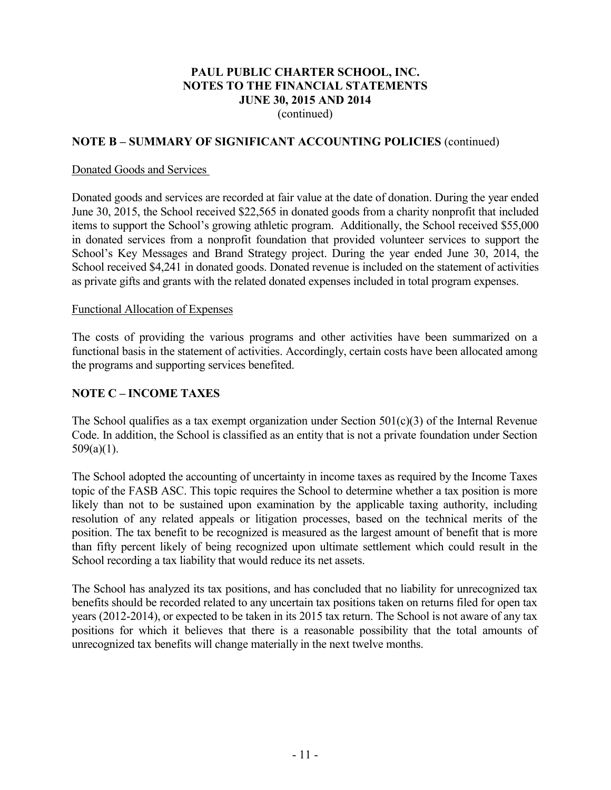#### **NOTE B – SUMMARY OF SIGNIFICANT ACCOUNTING POLICIES** (continued)

#### Donated Goods and Services

Donated goods and services are recorded at fair value at the date of donation. During the year ended June 30, 2015, the School received \$22,565 in donated goods from a charity nonprofit that included items to support the School's growing athletic program. Additionally, the School received \$55,000 in donated services from a nonprofit foundation that provided volunteer services to support the School's Key Messages and Brand Strategy project. During the year ended June 30, 2014, the School received \$4,241 in donated goods. Donated revenue is included on the statement of activities as private gifts and grants with the related donated expenses included in total program expenses.

#### Functional Allocation of Expenses

The costs of providing the various programs and other activities have been summarized on a functional basis in the statement of activities. Accordingly, certain costs have been allocated among the programs and supporting services benefited.

#### **NOTE C – INCOME TAXES**

The School qualifies as a tax exempt organization under Section  $501(c)(3)$  of the Internal Revenue Code. In addition, the School is classified as an entity that is not a private foundation under Section  $509(a)(1)$ .

The School adopted the accounting of uncertainty in income taxes as required by the Income Taxes topic of the FASB ASC. This topic requires the School to determine whether a tax position is more likely than not to be sustained upon examination by the applicable taxing authority, including resolution of any related appeals or litigation processes, based on the technical merits of the position. The tax benefit to be recognized is measured as the largest amount of benefit that is more than fifty percent likely of being recognized upon ultimate settlement which could result in the School recording a tax liability that would reduce its net assets.

The School has analyzed its tax positions, and has concluded that no liability for unrecognized tax benefits should be recorded related to any uncertain tax positions taken on returns filed for open tax years (2012-2014), or expected to be taken in its 2015 tax return. The School is not aware of any tax positions for which it believes that there is a reasonable possibility that the total amounts of unrecognized tax benefits will change materially in the next twelve months.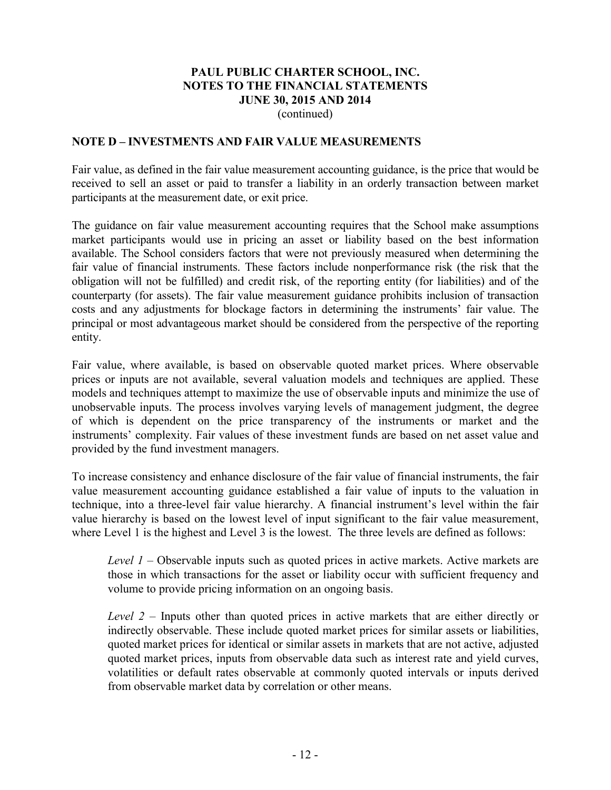#### **NOTE D – INVESTMENTS AND FAIR VALUE MEASUREMENTS**

Fair value, as defined in the fair value measurement accounting guidance, is the price that would be received to sell an asset or paid to transfer a liability in an orderly transaction between market participants at the measurement date, or exit price.

The guidance on fair value measurement accounting requires that the School make assumptions market participants would use in pricing an asset or liability based on the best information available. The School considers factors that were not previously measured when determining the fair value of financial instruments. These factors include nonperformance risk (the risk that the obligation will not be fulfilled) and credit risk, of the reporting entity (for liabilities) and of the counterparty (for assets). The fair value measurement guidance prohibits inclusion of transaction costs and any adjustments for blockage factors in determining the instruments' fair value. The principal or most advantageous market should be considered from the perspective of the reporting entity.

Fair value, where available, is based on observable quoted market prices. Where observable prices or inputs are not available, several valuation models and techniques are applied. These models and techniques attempt to maximize the use of observable inputs and minimize the use of unobservable inputs. The process involves varying levels of management judgment, the degree of which is dependent on the price transparency of the instruments or market and the instruments' complexity. Fair values of these investment funds are based on net asset value and provided by the fund investment managers.

To increase consistency and enhance disclosure of the fair value of financial instruments, the fair value measurement accounting guidance established a fair value of inputs to the valuation in technique, into a three-level fair value hierarchy. A financial instrument's level within the fair value hierarchy is based on the lowest level of input significant to the fair value measurement, where Level 1 is the highest and Level 3 is the lowest. The three levels are defined as follows:

*Level 1* – Observable inputs such as quoted prices in active markets. Active markets are those in which transactions for the asset or liability occur with sufficient frequency and volume to provide pricing information on an ongoing basis.

*Level 2* – Inputs other than quoted prices in active markets that are either directly or indirectly observable. These include quoted market prices for similar assets or liabilities, quoted market prices for identical or similar assets in markets that are not active, adjusted quoted market prices, inputs from observable data such as interest rate and yield curves, volatilities or default rates observable at commonly quoted intervals or inputs derived from observable market data by correlation or other means.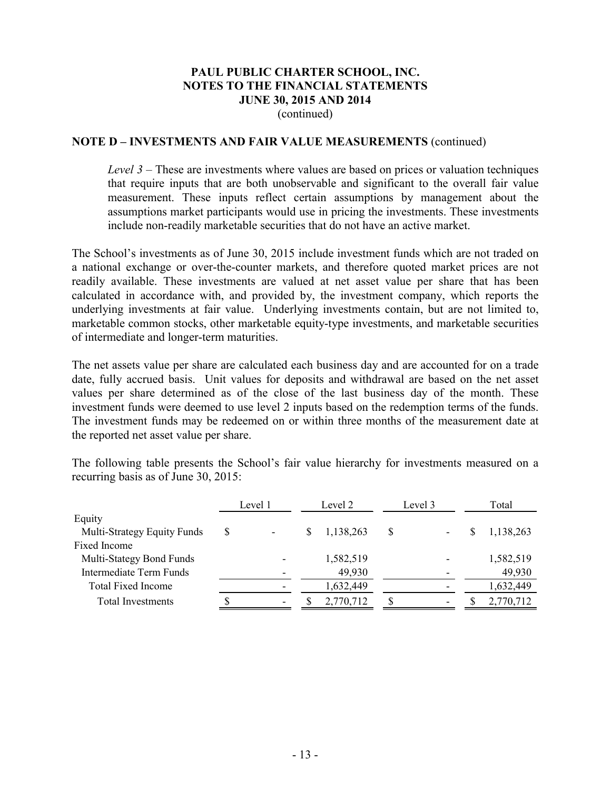#### **NOTE D – INVESTMENTS AND FAIR VALUE MEASUREMENTS** (continued)

*Level 3* – These are investments where values are based on prices or valuation techniques that require inputs that are both unobservable and significant to the overall fair value measurement. These inputs reflect certain assumptions by management about the assumptions market participants would use in pricing the investments. These investments include non-readily marketable securities that do not have an active market.

The School's investments as of June 30, 2015 include investment funds which are not traded on a national exchange or over-the-counter markets, and therefore quoted market prices are not readily available. These investments are valued at net asset value per share that has been calculated in accordance with, and provided by, the investment company, which reports the underlying investments at fair value. Underlying investments contain, but are not limited to, marketable common stocks, other marketable equity-type investments, and marketable securities of intermediate and longer-term maturities.

The net assets value per share are calculated each business day and are accounted for on a trade date, fully accrued basis. Unit values for deposits and withdrawal are based on the net asset values per share determined as of the close of the last business day of the month. These investment funds were deemed to use level 2 inputs based on the redemption terms of the funds. The investment funds may be redeemed on or within three months of the measurement date at the reported net asset value per share.

The following table presents the School's fair value hierarchy for investments measured on a recurring basis as of June 30, 2015:

|                                |   | Level 1 |   | Level 2   |   | Level 3 |   | Total     |
|--------------------------------|---|---------|---|-----------|---|---------|---|-----------|
| Equity                         |   |         |   |           |   |         |   |           |
| Multi-Strategy Equity Funds    | S |         | S | 1,138,263 | S |         | S | 1,138,263 |
| Fixed Income                   |   |         |   |           |   |         |   |           |
| Multi-Stategy Bond Funds       |   |         |   | 1,582,519 |   |         |   | 1,582,519 |
| <b>Intermediate Term Funds</b> |   |         |   | 49,930    |   |         |   | 49,930    |
| <b>Total Fixed Income</b>      |   |         |   | 1,632,449 |   |         |   | 1,632,449 |
| <b>Total Investments</b>       |   |         |   | 2,770,712 |   | ۰       |   | 2,770,712 |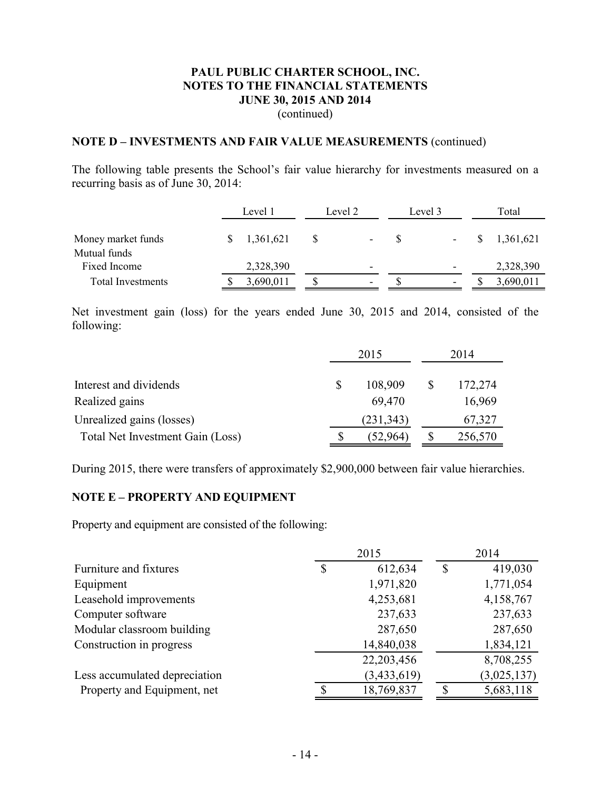(continued)

## **NOTE D – INVESTMENTS AND FAIR VALUE MEASUREMENTS** (continued)

The following table presents the School's fair value hierarchy for investments measured on a recurring basis as of June 30, 2014:

|                              | Level 1   | Level 2 |                          | Level 3 |                          | Total     |
|------------------------------|-----------|---------|--------------------------|---------|--------------------------|-----------|
| Money market funds           | 1,361,621 |         | -                        |         | $\overline{\phantom{a}}$ | 1,361,621 |
| Mutual funds<br>Fixed Income | 2,328,390 |         | $\overline{\phantom{0}}$ |         | $\overline{\phantom{a}}$ | 2,328,390 |
| <b>Total Investments</b>     | 3,690,011 |         | ۰                        |         | $\overline{\phantom{a}}$ | 3,690,011 |

Net investment gain (loss) for the years ended June 30, 2015 and 2014, consisted of the following:

|                                  |   | 2015       | 2014 |         |  |
|----------------------------------|---|------------|------|---------|--|
| Interest and dividends           | S | 108,909    |      | 172,274 |  |
| Realized gains                   |   | 69,470     |      | 16,969  |  |
| Unrealized gains (losses)        |   | (231, 343) |      | 67,327  |  |
| Total Net Investment Gain (Loss) |   | (52,964)   |      | 256,570 |  |

During 2015, there were transfers of approximately \$2,900,000 between fair value hierarchies.

## **NOTE E – PROPERTY AND EQUIPMENT**

Property and equipment are consisted of the following:

|                               |    | 2015         |    | 2014        |
|-------------------------------|----|--------------|----|-------------|
| Furniture and fixtures        | \$ | 612,634      | \$ | 419,030     |
| Equipment                     |    | 1,971,820    |    | 1,771,054   |
| Leasehold improvements        |    | 4,253,681    |    | 4,158,767   |
| Computer software             |    | 237,633      |    | 237,633     |
| Modular classroom building    |    | 287,650      |    | 287,650     |
| Construction in progress      |    | 14,840,038   |    | 1,834,121   |
|                               |    | 22, 203, 456 |    | 8,708,255   |
| Less accumulated depreciation |    | (3,433,619)  |    | (3,025,137) |
| Property and Equipment, net   | ፍ  | 18,769,837   | ፍ  | 5,683,118   |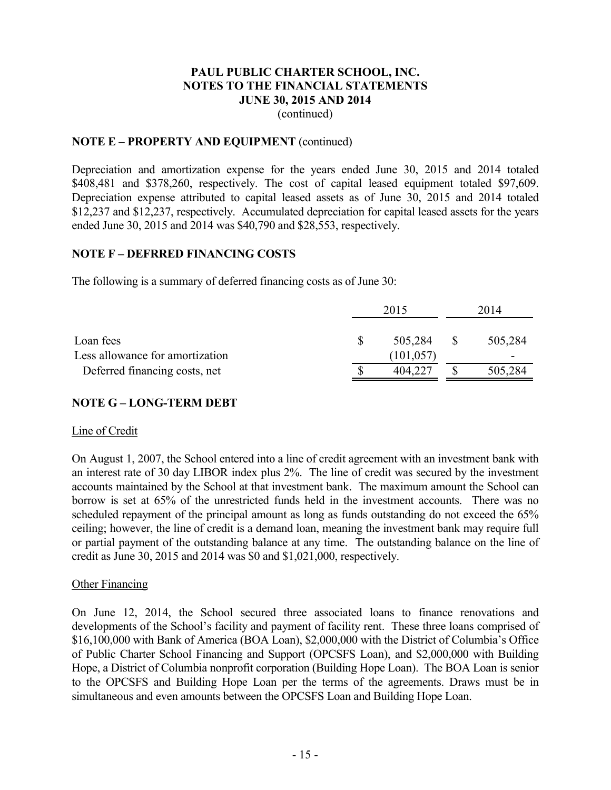(continued)

## **NOTE E – PROPERTY AND EQUIPMENT** (continued)

Depreciation and amortization expense for the years ended June 30, 2015 and 2014 totaled \$408,481 and \$378,260, respectively. The cost of capital leased equipment totaled \$97,609. Depreciation expense attributed to capital leased assets as of June 30, 2015 and 2014 totaled \$12,237 and \$12,237, respectively. Accumulated depreciation for capital leased assets for the years ended June 30, 2015 and 2014 was \$40,790 and \$28,553, respectively.

#### **NOTE F – DEFRRED FINANCING COSTS**

The following is a summary of deferred financing costs as of June 30:

|                                 | 2015       |  | 2014    |
|---------------------------------|------------|--|---------|
|                                 |            |  |         |
| Loan fees                       | 505,284    |  | 505,284 |
| Less allowance for amortization | (101, 057) |  | ٠       |
| Deferred financing costs, net   | 404.227    |  | 505,284 |

## **NOTE G – LONG-TERM DEBT**

#### Line of Credit

On August 1, 2007, the School entered into a line of credit agreement with an investment bank with an interest rate of 30 day LIBOR index plus 2%. The line of credit was secured by the investment accounts maintained by the School at that investment bank. The maximum amount the School can borrow is set at 65% of the unrestricted funds held in the investment accounts. There was no scheduled repayment of the principal amount as long as funds outstanding do not exceed the 65% ceiling; however, the line of credit is a demand loan, meaning the investment bank may require full or partial payment of the outstanding balance at any time. The outstanding balance on the line of credit as June 30, 2015 and 2014 was \$0 and \$1,021,000, respectively.

#### Other Financing

On June 12, 2014, the School secured three associated loans to finance renovations and developments of the School's facility and payment of facility rent. These three loans comprised of \$16,100,000 with Bank of America (BOA Loan), \$2,000,000 with the District of Columbia's Office of Public Charter School Financing and Support (OPCSFS Loan), and \$2,000,000 with Building Hope, a District of Columbia nonprofit corporation (Building Hope Loan). The BOA Loan is senior to the OPCSFS and Building Hope Loan per the terms of the agreements. Draws must be in simultaneous and even amounts between the OPCSFS Loan and Building Hope Loan.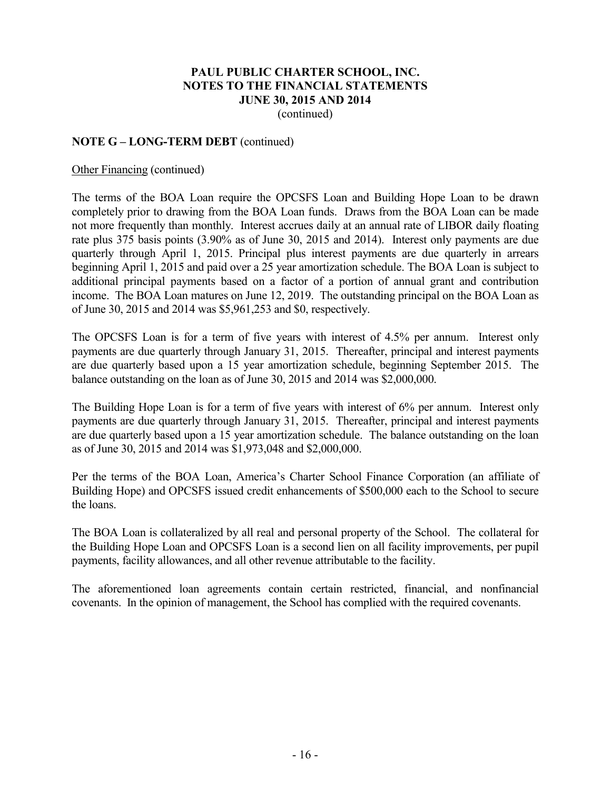(continued)

## **NOTE G – LONG-TERM DEBT** (continued)

#### Other Financing (continued)

The terms of the BOA Loan require the OPCSFS Loan and Building Hope Loan to be drawn completely prior to drawing from the BOA Loan funds. Draws from the BOA Loan can be made not more frequently than monthly. Interest accrues daily at an annual rate of LIBOR daily floating rate plus 375 basis points (3.90% as of June 30, 2015 and 2014). Interest only payments are due quarterly through April 1, 2015. Principal plus interest payments are due quarterly in arrears beginning April 1, 2015 and paid over a 25 year amortization schedule. The BOA Loan is subject to additional principal payments based on a factor of a portion of annual grant and contribution income. The BOA Loan matures on June 12, 2019. The outstanding principal on the BOA Loan as of June 30, 2015 and 2014 was \$5,961,253 and \$0, respectively.

The OPCSFS Loan is for a term of five years with interest of 4.5% per annum. Interest only payments are due quarterly through January 31, 2015. Thereafter, principal and interest payments are due quarterly based upon a 15 year amortization schedule, beginning September 2015. The balance outstanding on the loan as of June 30, 2015 and 2014 was \$2,000,000.

The Building Hope Loan is for a term of five years with interest of 6% per annum. Interest only payments are due quarterly through January 31, 2015. Thereafter, principal and interest payments are due quarterly based upon a 15 year amortization schedule. The balance outstanding on the loan as of June 30, 2015 and 2014 was \$1,973,048 and \$2,000,000.

Per the terms of the BOA Loan, America's Charter School Finance Corporation (an affiliate of Building Hope) and OPCSFS issued credit enhancements of \$500,000 each to the School to secure the loans.

The BOA Loan is collateralized by all real and personal property of the School. The collateral for the Building Hope Loan and OPCSFS Loan is a second lien on all facility improvements, per pupil payments, facility allowances, and all other revenue attributable to the facility.

The aforementioned loan agreements contain certain restricted, financial, and nonfinancial covenants. In the opinion of management, the School has complied with the required covenants.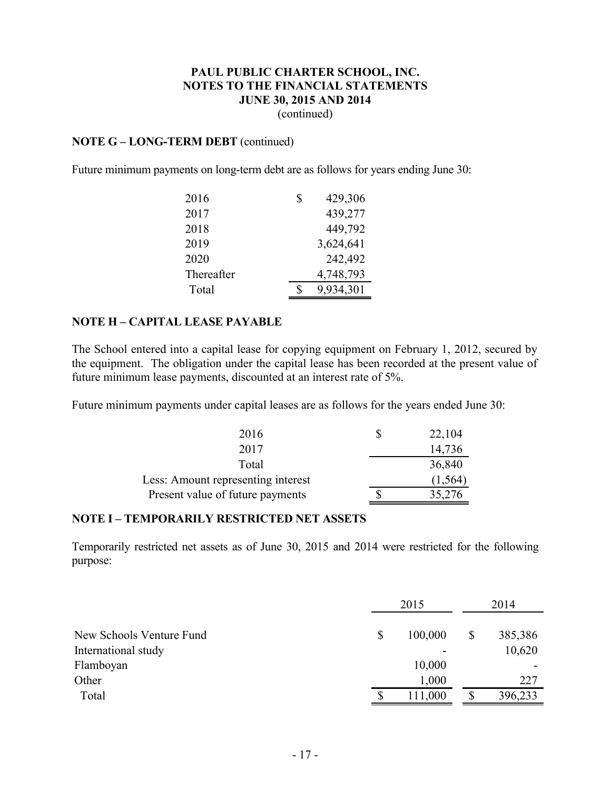(continued)

#### **NOTE G – LONG-TERM DEBT** (continued)

Future minimum payments on long-term debt are as follows for years ending June 30:

| 2016       | \$ | 429,306   |
|------------|----|-----------|
| 2017       |    | 439,277   |
| 2018       |    | 449,792   |
| 2019       |    | 3,624,641 |
| 2020       |    | 242,492   |
| Thereafter |    | 4,748,793 |
| Total      | S  | 9,934,301 |

#### **NOTE H – CAPITAL LEASE PAYABLE**

The School entered into a capital lease for copying equipment on February 1, 2012, secured by the equipment. The obligation under the capital lease has been recorded at the present value of future minimum lease payments, discounted at an interest rate of 5%.

Future minimum payments under capital leases are as follows for the years ended June 30:

| 2016                               | 22,104   |
|------------------------------------|----------|
| 2017                               | 14,736   |
| Total                              | 36,840   |
| Less: Amount representing interest | (1, 564) |
| Present value of future payments   | 35,276   |

#### **NOTE I – TEMPORARILY RESTRICTED NET ASSETS**

Temporarily restricted net assets as of June 30, 2015 and 2014 were restricted for the following purpose:

|                          | 2015 |         | 2014          |  |
|--------------------------|------|---------|---------------|--|
| New Schools Venture Fund | \$   | 100,000 | \$<br>385,386 |  |
| International study      |      |         | 10,620        |  |
| Flamboyan                |      | 10,000  |               |  |
| Other                    |      | 1,000   | 227           |  |
| Total                    | S    | 111,000 | 396,233       |  |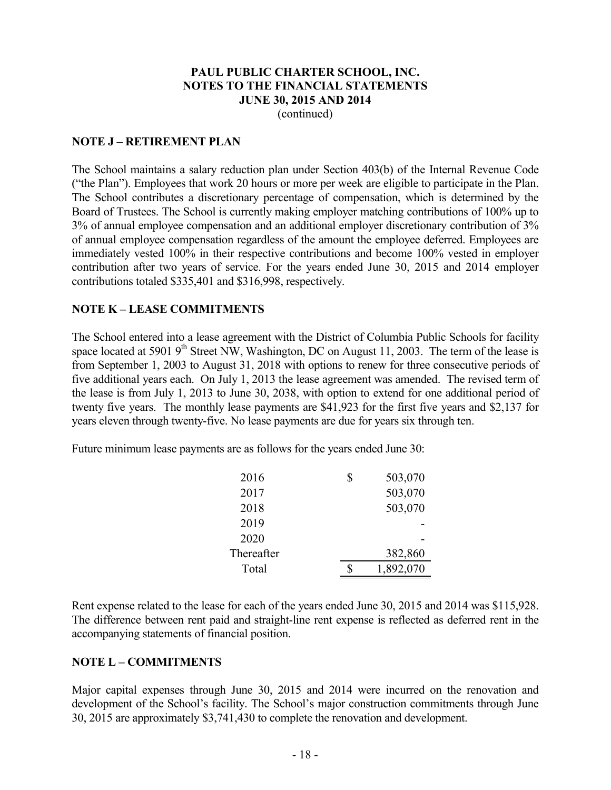(continued)

#### **NOTE J – RETIREMENT PLAN**

The School maintains a salary reduction plan under Section 403(b) of the Internal Revenue Code ("the Plan"). Employees that work 20 hours or more per week are eligible to participate in the Plan. The School contributes a discretionary percentage of compensation, which is determined by the Board of Trustees. The School is currently making employer matching contributions of 100% up to 3% of annual employee compensation and an additional employer discretionary contribution of 3% of annual employee compensation regardless of the amount the employee deferred. Employees are immediately vested 100% in their respective contributions and become 100% vested in employer contribution after two years of service. For the years ended June 30, 2015 and 2014 employer contributions totaled \$335,401 and \$316,998, respectively.

## **NOTE K – LEASE COMMITMENTS**

The School entered into a lease agreement with the District of Columbia Public Schools for facility space located at 5901  $9<sup>th</sup>$  Street NW, Washington, DC on August 11, 2003. The term of the lease is from September 1, 2003 to August 31, 2018 with options to renew for three consecutive periods of five additional years each. On July 1, 2013 the lease agreement was amended. The revised term of the lease is from July 1, 2013 to June 30, 2038, with option to extend for one additional period of twenty five years. The monthly lease payments are \$41,923 for the first five years and \$2,137 for years eleven through twenty-five. No lease payments are due for years six through ten.

Future minimum lease payments are as follows for the years ended June 30:

| 2016       | \$ | 503,070   |
|------------|----|-----------|
| 2017       |    | 503,070   |
| 2018       |    | 503,070   |
| 2019       |    |           |
| 2020       |    |           |
| Thereafter |    | 382,860   |
| Total      | ς  | 1,892,070 |

Rent expense related to the lease for each of the years ended June 30, 2015 and 2014 was \$115,928. The difference between rent paid and straight-line rent expense is reflected as deferred rent in the accompanying statements of financial position.

#### **NOTE L – COMMITMENTS**

Major capital expenses through June 30, 2015 and 2014 were incurred on the renovation and development of the School's facility. The School's major construction commitments through June 30, 2015 are approximately \$3,741,430 to complete the renovation and development.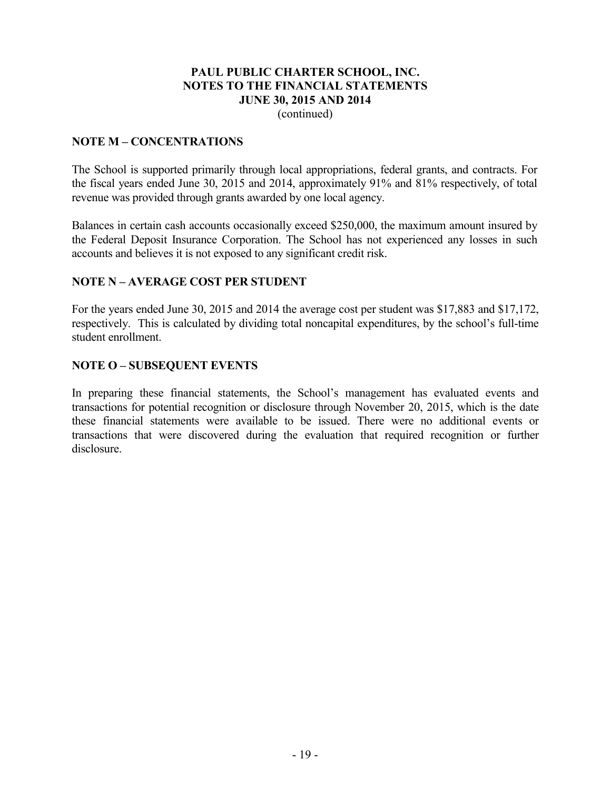(continued)

## **NOTE M – CONCENTRATIONS**

The School is supported primarily through local appropriations, federal grants, and contracts. For the fiscal years ended June 30, 2015 and 2014, approximately 91% and 81% respectively, of total revenue was provided through grants awarded by one local agency.

Balances in certain cash accounts occasionally exceed \$250,000, the maximum amount insured by the Federal Deposit Insurance Corporation. The School has not experienced any losses in such accounts and believes it is not exposed to any significant credit risk.

## **NOTE N – AVERAGE COST PER STUDENT**

For the years ended June 30, 2015 and 2014 the average cost per student was \$17,883 and \$17,172, respectively. This is calculated by dividing total noncapital expenditures, by the school's full-time student enrollment.

#### **NOTE O – SUBSEQUENT EVENTS**

In preparing these financial statements, the School's management has evaluated events and transactions for potential recognition or disclosure through November 20, 2015, which is the date these financial statements were available to be issued. There were no additional events or transactions that were discovered during the evaluation that required recognition or further disclosure.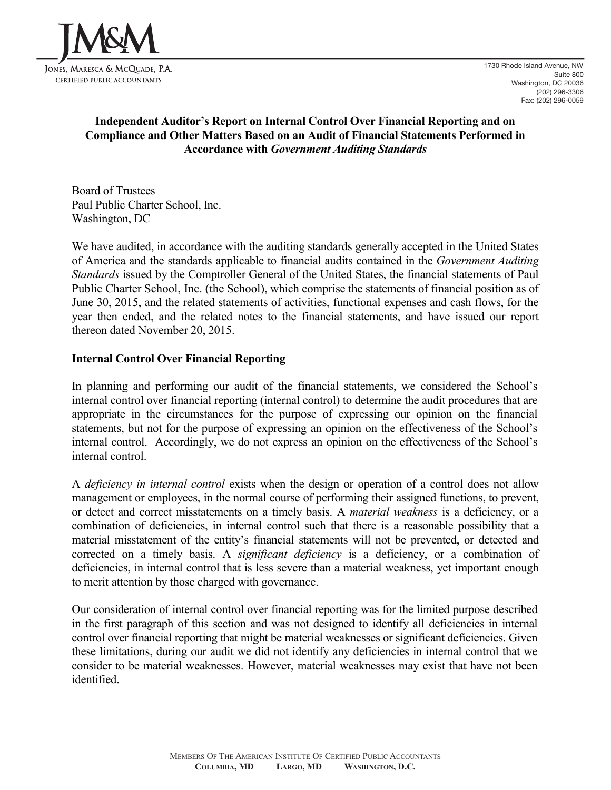

## **Independent Auditor's Report on Internal Control Over Financial Reporting and on Compliance and Other Matters Based on an Audit of Financial Statements Performed in Accordance with** *Government Auditing Standards*

Board of Trustees Paul Public Charter School, Inc. Washington, DC

We have audited, in accordance with the auditing standards generally accepted in the United States of America and the standards applicable to financial audits contained in the *Government Auditing Standards* issued by the Comptroller General of the United States, the financial statements of Paul Public Charter School, Inc. (the School), which comprise the statements of financial position as of June 30, 2015, and the related statements of activities, functional expenses and cash flows, for the year then ended, and the related notes to the financial statements, and have issued our report thereon dated November 20, 2015.

#### **Internal Control Over Financial Reporting**

In planning and performing our audit of the financial statements, we considered the School's internal control over financial reporting (internal control) to determine the audit procedures that are appropriate in the circumstances for the purpose of expressing our opinion on the financial statements, but not for the purpose of expressing an opinion on the effectiveness of the School's internal control. Accordingly, we do not express an opinion on the effectiveness of the School's internal control.

A *deficiency in internal control* exists when the design or operation of a control does not allow management or employees, in the normal course of performing their assigned functions, to prevent, or detect and correct misstatements on a timely basis. A *material weakness* is a deficiency, or a combination of deficiencies, in internal control such that there is a reasonable possibility that a material misstatement of the entity's financial statements will not be prevented, or detected and corrected on a timely basis. A *significant deficiency* is a deficiency, or a combination of deficiencies, in internal control that is less severe than a material weakness, yet important enough to merit attention by those charged with governance.

Our consideration of internal control over financial reporting was for the limited purpose described in the first paragraph of this section and was not designed to identify all deficiencies in internal control over financial reporting that might be material weaknesses or significant deficiencies. Given these limitations, during our audit we did not identify any deficiencies in internal control that we consider to be material weaknesses. However, material weaknesses may exist that have not been identified.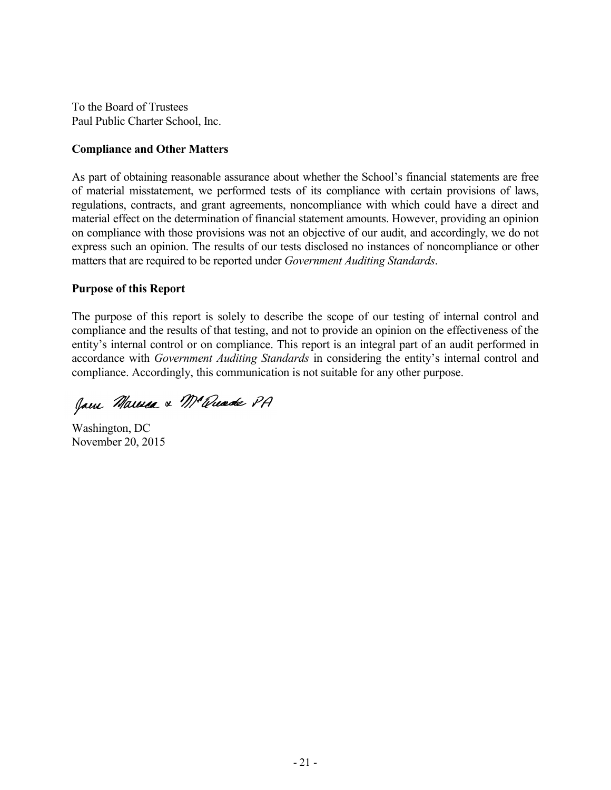To the Board of Trustees Paul Public Charter School, Inc.

## **Compliance and Other Matters**

As part of obtaining reasonable assurance about whether the School's financial statements are free of material misstatement, we performed tests of its compliance with certain provisions of laws, regulations, contracts, and grant agreements, noncompliance with which could have a direct and material effect on the determination of financial statement amounts. However, providing an opinion on compliance with those provisions was not an objective of our audit, and accordingly, we do not express such an opinion. The results of our tests disclosed no instances of noncompliance or other matters that are required to be reported under *Government Auditing Standards*.

#### **Purpose of this Report**

The purpose of this report is solely to describe the scope of our testing of internal control and compliance and the results of that testing, and not to provide an opinion on the effectiveness of the entity's internal control or on compliance. This report is an integral part of an audit performed in accordance with *Government Auditing Standards* in considering the entity's internal control and compliance. Accordingly, this communication is not suitable for any other purpose.

Jam Marmea & M'amade PA

Washington, DC November 20, 2015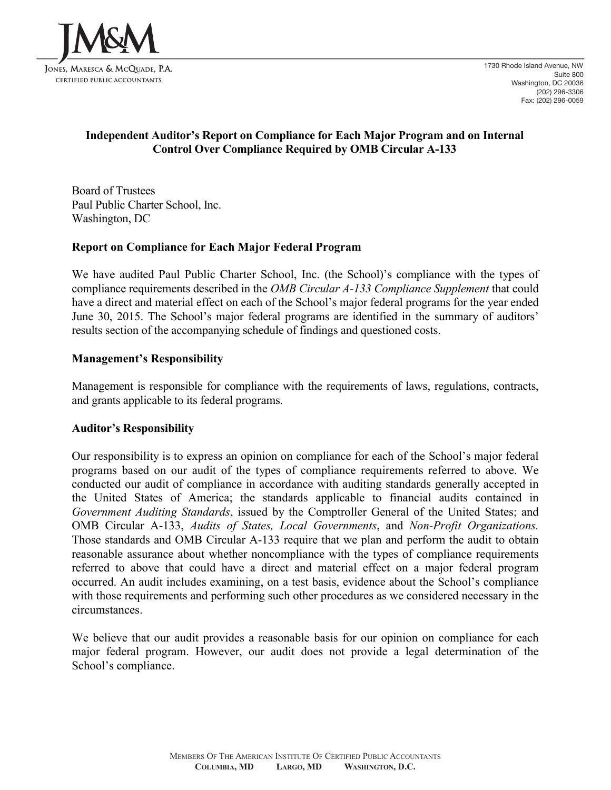

## **Independent Auditor's Report on Compliance for Each Major Program and on Internal Control Over Compliance Required by OMB Circular A-133**

Board of Trustees Paul Public Charter School, Inc. Washington, DC

## **Report on Compliance for Each Major Federal Program**

We have audited Paul Public Charter School, Inc. (the School)'s compliance with the types of compliance requirements described in the *OMB Circular A-133 Compliance Supplement* that could have a direct and material effect on each of the School's major federal programs for the year ended June 30, 2015. The School's major federal programs are identified in the summary of auditors' results section of the accompanying schedule of findings and questioned costs.

## **Management's Responsibility**

Management is responsible for compliance with the requirements of laws, regulations, contracts, and grants applicable to its federal programs.

## **Auditor's Responsibility**

Our responsibility is to express an opinion on compliance for each of the School's major federal programs based on our audit of the types of compliance requirements referred to above. We conducted our audit of compliance in accordance with auditing standards generally accepted in the United States of America; the standards applicable to financial audits contained in *Government Auditing Standards*, issued by the Comptroller General of the United States; and OMB Circular A-133, *Audits of States, Local Governments*, and *Non-Profit Organizations.* Those standards and OMB Circular A-133 require that we plan and perform the audit to obtain reasonable assurance about whether noncompliance with the types of compliance requirements referred to above that could have a direct and material effect on a major federal program occurred. An audit includes examining, on a test basis, evidence about the School's compliance with those requirements and performing such other procedures as we considered necessary in the circumstances.

We believe that our audit provides a reasonable basis for our opinion on compliance for each major federal program. However, our audit does not provide a legal determination of the School's compliance.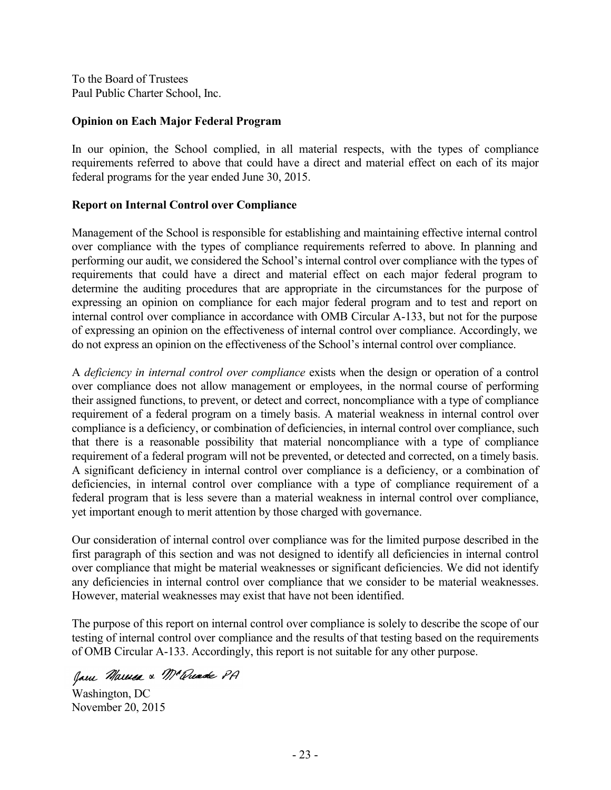To the Board of Trustees Paul Public Charter School, Inc.

#### **Opinion on Each Major Federal Program**

In our opinion, the School complied, in all material respects, with the types of compliance requirements referred to above that could have a direct and material effect on each of its major federal programs for the year ended June 30, 2015.

#### **Report on Internal Control over Compliance**

Management of the School is responsible for establishing and maintaining effective internal control over compliance with the types of compliance requirements referred to above. In planning and performing our audit, we considered the School's internal control over compliance with the types of requirements that could have a direct and material effect on each major federal program to determine the auditing procedures that are appropriate in the circumstances for the purpose of expressing an opinion on compliance for each major federal program and to test and report on internal control over compliance in accordance with OMB Circular A-133, but not for the purpose of expressing an opinion on the effectiveness of internal control over compliance. Accordingly, we do not express an opinion on the effectiveness of the School's internal control over compliance.

A *deficiency in internal control over compliance* exists when the design or operation of a control over compliance does not allow management or employees, in the normal course of performing their assigned functions, to prevent, or detect and correct, noncompliance with a type of compliance requirement of a federal program on a timely basis. A material weakness in internal control over compliance is a deficiency, or combination of deficiencies, in internal control over compliance, such that there is a reasonable possibility that material noncompliance with a type of compliance requirement of a federal program will not be prevented, or detected and corrected, on a timely basis. A significant deficiency in internal control over compliance is a deficiency, or a combination of deficiencies, in internal control over compliance with a type of compliance requirement of a federal program that is less severe than a material weakness in internal control over compliance, yet important enough to merit attention by those charged with governance.

Our consideration of internal control over compliance was for the limited purpose described in the first paragraph of this section and was not designed to identify all deficiencies in internal control over compliance that might be material weaknesses or significant deficiencies. We did not identify any deficiencies in internal control over compliance that we consider to be material weaknesses. However, material weaknesses may exist that have not been identified.

The purpose of this report on internal control over compliance is solely to describe the scope of our testing of internal control over compliance and the results of that testing based on the requirements of OMB Circular A-133. Accordingly, this report is not suitable for any other purpose.

Jam Marca & M'Quade PA

Washington, DC November 20, 2015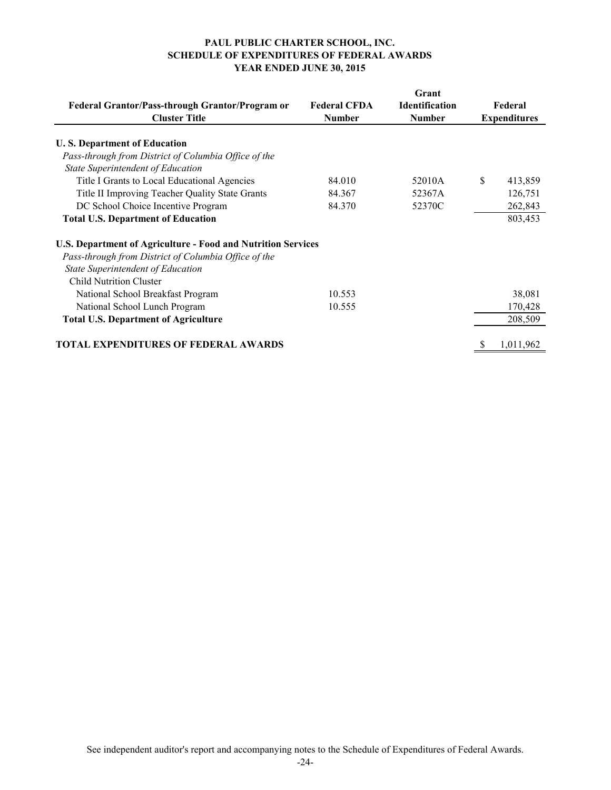#### **PAUL PUBLIC CHARTER SCHOOL, INC. SCHEDULE OF EXPENDITURES OF FEDERAL AWARDS YEAR ENDED JUNE 30, 2015**

|                                                              | Grant               |                                                                          |    |           |
|--------------------------------------------------------------|---------------------|--------------------------------------------------------------------------|----|-----------|
| Federal Grantor/Pass-through Grantor/Program or              | <b>Federal CFDA</b> | <b>Identification</b><br>Federal<br><b>Number</b><br><b>Expenditures</b> |    |           |
| <b>Cluster Title</b>                                         | <b>Number</b>       |                                                                          |    |           |
| U.S. Department of Education                                 |                     |                                                                          |    |           |
| Pass-through from District of Columbia Office of the         |                     |                                                                          |    |           |
| <b>State Superintendent of Education</b>                     |                     |                                                                          |    |           |
| Title I Grants to Local Educational Agencies                 | 84.010              | 52010A                                                                   | \$ | 413,859   |
| Title II Improving Teacher Quality State Grants              | 84.367              | 52367A                                                                   |    | 126,751   |
| DC School Choice Incentive Program                           | 84.370              | 52370C                                                                   |    | 262,843   |
| <b>Total U.S. Department of Education</b>                    |                     |                                                                          |    | 803,453   |
| U.S. Department of Agriculture - Food and Nutrition Services |                     |                                                                          |    |           |
| Pass-through from District of Columbia Office of the         |                     |                                                                          |    |           |
| <b>State Superintendent of Education</b>                     |                     |                                                                          |    |           |
| <b>Child Nutrition Cluster</b>                               |                     |                                                                          |    |           |
| National School Breakfast Program                            | 10.553              |                                                                          |    | 38,081    |
| National School Lunch Program                                | 10.555              |                                                                          |    | 170,428   |
| <b>Total U.S. Department of Agriculture</b>                  |                     |                                                                          |    | 208,509   |
| TOTAL EXPENDITURES OF FEDERAL AWARDS                         |                     |                                                                          |    | 1,011,962 |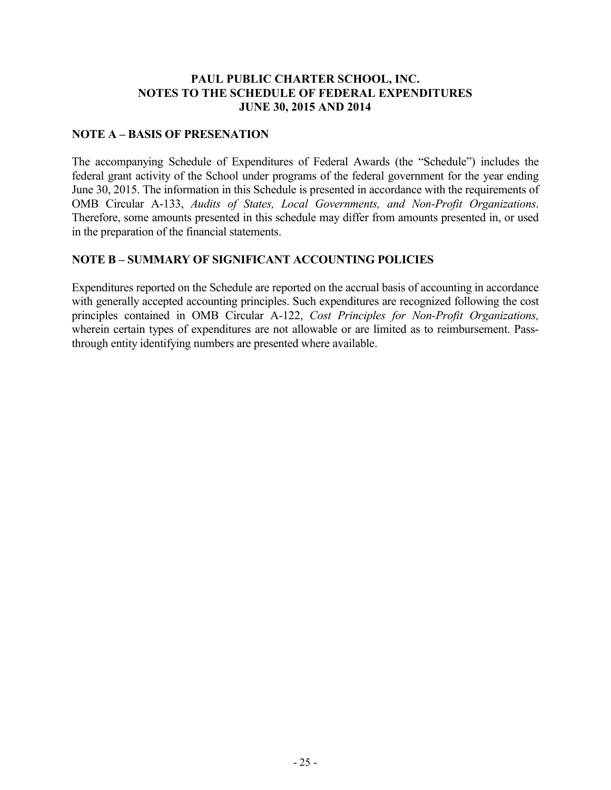#### **PAUL PUBLIC CHARTER SCHOOL, INC. NOTES TO THE SCHEDULE OF FEDERAL EXPENDITURES JUNE 30, 2015 AND 2014**

## **NOTE A – BASIS OF PRESENATION**

The accompanying Schedule of Expenditures of Federal Awards (the "Schedule") includes the federal grant activity of the School under programs of the federal government for the year ending June 30, 2015. The information in this Schedule is presented in accordance with the requirements of OMB Circular A-133, *Audits of States, Local Governments, and Non-Profit Organizations*. Therefore, some amounts presented in this schedule may differ from amounts presented in, or used in the preparation of the financial statements.

## **NOTE B – SUMMARY OF SIGNIFICANT ACCOUNTING POLICIES**

Expenditures reported on the Schedule are reported on the accrual basis of accounting in accordance with generally accepted accounting principles. Such expenditures are recognized following the cost principles contained in OMB Circular A-122, *Cost Principles for Non-Profit Organizations,* wherein certain types of expenditures are not allowable or are limited as to reimbursement. Passthrough entity identifying numbers are presented where available.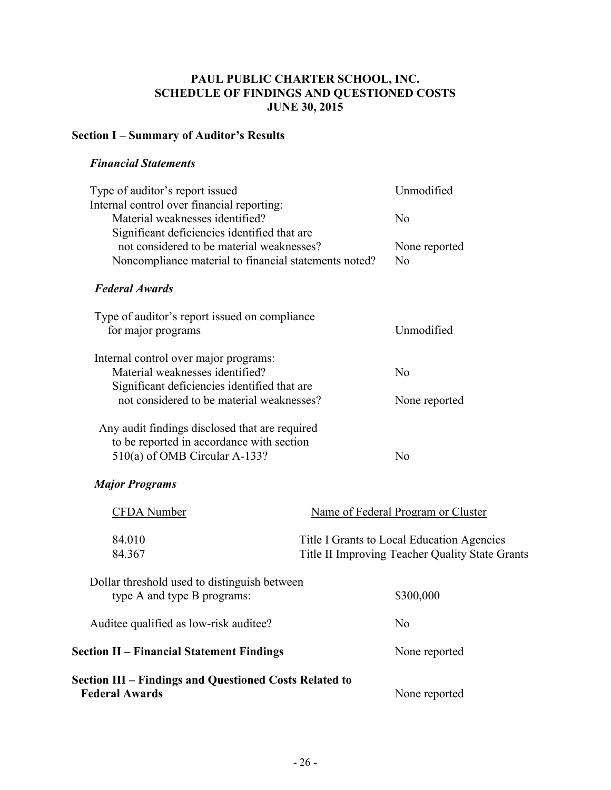### **PAUL PUBLIC CHARTER SCHOOL, INC. SCHEDULE OF FINDINGS AND QUESTIONED COSTS JUNE 30, 2015**

#### **Section I – Summary of Auditor's Results**

#### *Financial Statements*

|                                                 | Unmodified                                                                                                                                                                                                                                   |
|-------------------------------------------------|----------------------------------------------------------------------------------------------------------------------------------------------------------------------------------------------------------------------------------------------|
|                                                 | No                                                                                                                                                                                                                                           |
| Significant deficiencies identified that are    |                                                                                                                                                                                                                                              |
|                                                 | None reported<br>N <sub>0</sub>                                                                                                                                                                                                              |
|                                                 |                                                                                                                                                                                                                                              |
|                                                 |                                                                                                                                                                                                                                              |
| Type of auditor's report issued on compliance   |                                                                                                                                                                                                                                              |
|                                                 | Unmodified                                                                                                                                                                                                                                   |
|                                                 |                                                                                                                                                                                                                                              |
|                                                 | No                                                                                                                                                                                                                                           |
|                                                 | None reported                                                                                                                                                                                                                                |
|                                                 |                                                                                                                                                                                                                                              |
| Any audit findings disclosed that are required  |                                                                                                                                                                                                                                              |
|                                                 | N <sub>0</sub>                                                                                                                                                                                                                               |
|                                                 |                                                                                                                                                                                                                                              |
|                                                 |                                                                                                                                                                                                                                              |
|                                                 | Name of Federal Program or Cluster                                                                                                                                                                                                           |
| Title I Grants to Local Education Agencies      |                                                                                                                                                                                                                                              |
| Title II Improving Teacher Quality State Grants |                                                                                                                                                                                                                                              |
|                                                 | not considered to be material weaknesses?<br>Noncompliance material to financial statements noted?<br>Significant deficiencies identified that are<br>not considered to be material weaknesses?<br>to be reported in accordance with section |

Dollar threshold used to distinguish between type A and type B programs: \$300,000 Auditee qualified as low-risk auditee? No **Section II – Financial Statement Findings** None reported

## **Section III – Findings and Questioned Costs Related to None reported**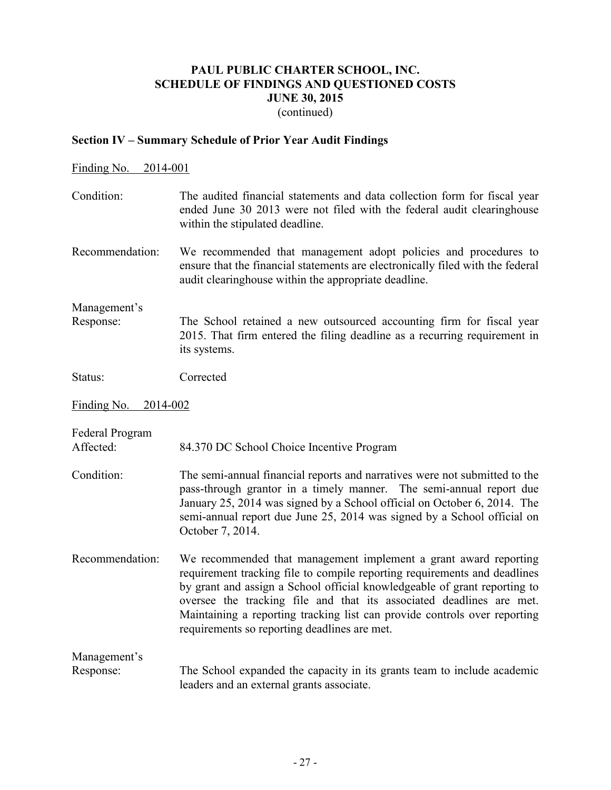## **PAUL PUBLIC CHARTER SCHOOL, INC. SCHEDULE OF FINDINGS AND QUESTIONED COSTS JUNE 30, 2015** (continued)

#### **Section IV – Summary Schedule of Prior Year Audit Findings**

- Condition: The audited financial statements and data collection form for fiscal year ended June 30 2013 were not filed with the federal audit clearinghouse within the stipulated deadline.
- Recommendation: We recommended that management adopt policies and procedures to ensure that the financial statements are electronically filed with the federal audit clearinghouse within the appropriate deadline.
- Management's Response: The School retained a new outsourced accounting firm for fiscal year 2015. That firm entered the filing deadline as a recurring requirement in its systems.

Status: Corrected

Finding No. 2014-002

Federal Program Affected: 84.370 DC School Choice Incentive Program

- Condition: The semi-annual financial reports and narratives were not submitted to the pass-through grantor in a timely manner. The semi-annual report due January 25, 2014 was signed by a School official on October 6, 2014. The semi-annual report due June 25, 2014 was signed by a School official on October 7, 2014.
- Recommendation: We recommended that management implement a grant award reporting requirement tracking file to compile reporting requirements and deadlines by grant and assign a School official knowledgeable of grant reporting to oversee the tracking file and that its associated deadlines are met. Maintaining a reporting tracking list can provide controls over reporting requirements so reporting deadlines are met.

Management's Response: The School expanded the capacity in its grants team to include academic leaders and an external grants associate.